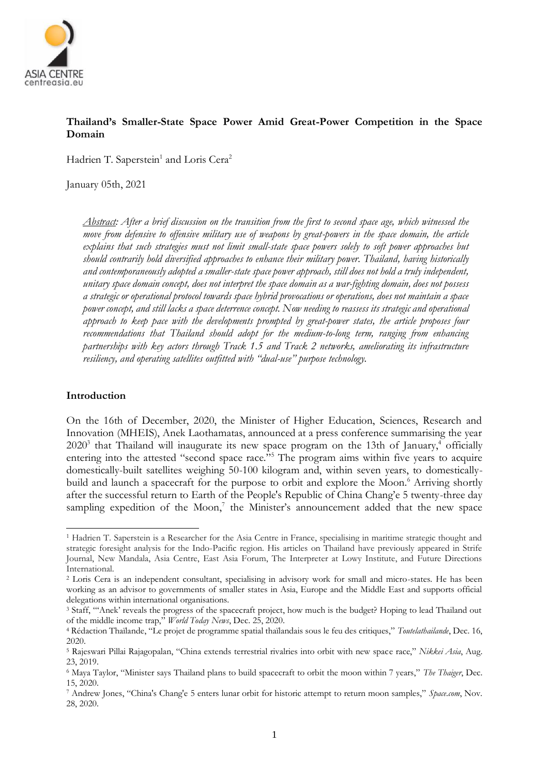

# **Thailand's Smaller-State Space Power Amid Great-Power Competition in the Space Domain**

Hadrien T. Saperstein<sup>1</sup> and Loris Cera<sup>2</sup>

January 05th, 2021

*Abstract: After a brief discussion on the transition from the first to second space age, which witnessed the move from defensive to offensive military use of weapons by great-powers in the space domain, the article explains that such strategies must not limit small-state space powers solely to soft power approaches but should contrarily hold diversified approaches to enhance their military power. Thailand, having historically and contemporaneously adopted a smaller-state space power approach, still does not hold a truly independent, unitary space domain concept, does not interpret the space domain as a war-fighting domain, does not possess a strategic or operational protocol towards space hybrid provocations or operations, does not maintain a space power concept, and still lacks a space deterrence concept. Now needing to reassess its strategic and operational approach to keep pace with the developments prompted by great-power states, the article proposes four recommendations that Thailand should adopt for the medium-to-long term, ranging from enhancing partnerships with key actors through Track 1.5 and Track 2 networks, ameliorating its infrastructure resiliency, and operating satellites outfitted with "dual-use" purpose technology.*

### **Introduction**

On the 16th of December, 2020, the Minister of Higher Education, Sciences, Research and Innovation (MHEIS), Anek Laothamatas, announced at a press conference summarising the year  $2020<sup>3</sup>$  that Thailand will inaugurate its new space program on the 13th of January,<sup>4</sup> officially entering into the attested "second space race."<sup>5</sup> The program aims within five years to acquire domestically-built satellites weighing 50-100 kilogram and, within seven years, to domesticallybuild and launch a spacecraft for the purpose to orbit and explore the Moon.<sup>6</sup> Arriving shortly after the successful return to Earth of the People's Republic of China Chang'e 5 twenty-three day sampling expedition of the Moon,<sup>7</sup> the Minister's announcement added that the new space

<sup>1</sup> Hadrien T. Saperstein is a Researcher for the Asia Centre in France, specialising in maritime strategic thought and strategic foresight analysis for the Indo-Pacific region. His articles on Thailand have previously appeared in Strife Journal, New Mandala, Asia Centre, East Asia Forum, The Interpreter at Lowy Institute, and Future Directions International.

<sup>2</sup> Loris Cera is an independent consultant, specialising in advisory work for small and micro-states. He has been working as an advisor to governments of smaller states in Asia, Europe and the Middle East and supports official delegations within international organisations.

<sup>3</sup> Staff, "'Anek' reveals the progress of the spacecraft project, how much is the budget? Hoping to lead Thailand out of the middle income trap," *World Today News*, Dec. 25, 2020.

<sup>4</sup> Rédaction Thaïlande, "Le projet de programme spatial thaïlandais sous le feu des critiques," *Toutelathailande*, Dec. 16, 2020.

<sup>5</sup> Rajeswari Pillai Rajagopalan, "China extends terrestrial rivalries into orbit with new space race," *Nikkei Asia*, Aug. 23, 2019.

<sup>6</sup> Maya Taylor, "Minister says Thailand plans to build spacecraft to orbit the moon within 7 years," *The Thaiger*, Dec. 15, 2020.

<sup>7</sup> Andrew Jones, "China's Chang'e 5 enters lunar orbit for historic attempt to return moon samples," *Space.com*, Nov. 28, 2020.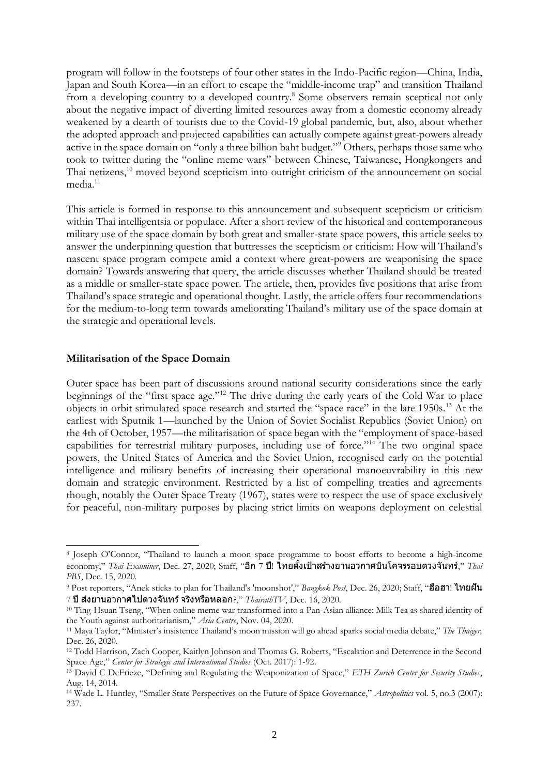program will follow in the footsteps of four other states in the Indo-Pacific region—China, India, Japan and South Korea—in an effort to escape the "middle-income trap" and transition Thailand from a developing country to a developed country.<sup>8</sup> Some observers remain sceptical not only about the negative impact of diverting limited resources away from a domestic economy already weakened by a dearth of tourists due to the Covid-19 global pandemic, but, also, about whether the adopted approach and projected capabilities can actually compete against great-powers already active in the space domain on "only a three billion baht budget."<sup>9</sup> Others, perhaps those same who took to twitter during the "online meme wars" between Chinese, Taiwanese, Hongkongers and Thai netizens,<sup>10</sup> moved beyond scepticism into outright criticism of the announcement on social media<sup>11</sup>

This article is formed in response to this announcement and subsequent scepticism or criticism within Thai intelligentsia or populace. After a short review of the historical and contemporaneous military use of the space domain by both great and smaller-state space powers, this article seeks to answer the underpinning question that buttresses the scepticism or criticism: How will Thailand's nascent space program compete amid a context where great-powers are weaponising the space domain? Towards answering that query, the article discusses whether Thailand should be treated as a middle or smaller-state space power. The article, then, provides five positions that arise from Thailand's space strategic and operational thought. Lastly, the article offers four recommendations for the medium-to-long term towards ameliorating Thailand's military use of the space domain at the strategic and operational levels.

### **Militarisation of the Space Domain**

Outer space has been part of discussions around national security considerations since the early beginnings of the "first space age."<sup>12</sup> The drive during the early years of the Cold War to place objects in orbit stimulated space research and started the "space race" in the late 1950s.<sup>13</sup> At the earliest with Sputnik 1—launched by the Union of Soviet Socialist Republics (Soviet Union) on the 4th of October, 1957—the militarisation of space began with the "employment of space-based capabilities for terrestrial military purposes, including use of force."<sup>14</sup> The two original space powers, the United States of America and the Soviet Union, recognised early on the potential intelligence and military benefits of increasing their operational manoeuvrability in this new domain and strategic environment. Restricted by a list of compelling treaties and agreements though, notably the Outer Space Treaty (1967), states were to respect the use of space exclusively for peaceful, non-military purposes by placing strict limits on weapons deployment on celestial

<sup>8</sup> Joseph O'Connor, "[Thailand to launch a moon space programme to boost efforts to become a high-income](https://www.thaiexaminer.com/thai-news-foreigners/2020/12/27/thailand-to-launch-a-moon-space-programme/)  [economy](https://www.thaiexaminer.com/thai-news-foreigners/2020/12/27/thailand-to-launch-a-moon-space-programme/)," *Thai Examiner*, Dec. 27, 2020; Staff, "อ**ีก 7 ปี! ไทยตั้งเป้าสร้างยานอวกาศบินโคจรรอบดวงจันทร์,**" *Thai PBS*, Dec. 15, 2020.

<sup>&</sup>lt;sup>9</sup> Post reporters, "Anek sticks to plan for Thailand's 'moonshot'," *Bangkok Post*, Dec. 26, 2020; Staff, "ฮือฮา! ไทยฝัน 7 ปีสง่ ยานอวกาศไปดวงจันทร์จริงหรือหลอก?," *ThairathTV*, Dec. 16, 2020.

<sup>10</sup> Ting-Hsuan Tseng, "When online meme war transformed into a Pan-Asian alliance: Milk Tea as shared identity of the Youth against authoritarianism," *Asia Centre*, Nov. 04, 2020.

<sup>11</sup> Maya Taylor, "Minister's insistence Thailand's moon mission will go ahead sparks social media debate," *The Thaiger,*  Dec. 26, 2020.

<sup>12</sup> Todd Harrison, Zach Cooper, Kaitlyn Johnson and Thomas G. Roberts, "Escalation and Deterrence in the Second Space Age," *Center for Strategic and International Studies* (Oct. 2017): 1-92.

<sup>13</sup> David C DeFrieze, "Defining and Regulating the Weaponization of Space," *ETH Zurich Center for Security Studies*, Aug. 14, 2014.

<sup>14</sup> Wade L. Huntley, "Smaller State Perspectives on the Future of Space Governance," *Astropolitics* vol. 5, no.3 (2007): 237.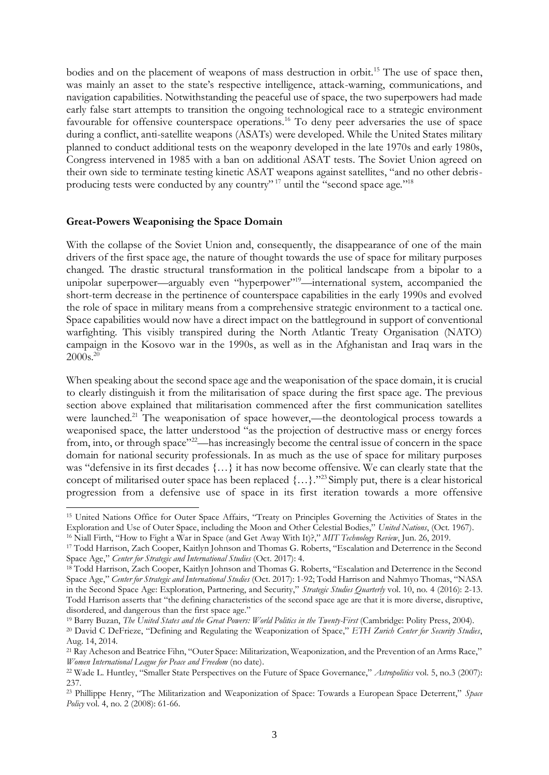bodies and on the placement of weapons of mass destruction in orbit.<sup>15</sup> The use of space then, was mainly an asset to the state's respective intelligence, attack-warning, communications, and navigation capabilities. Notwithstanding the peaceful use of space, the two superpowers had made early false start attempts to transition the ongoing technological race to a strategic environment favourable for offensive counterspace operations.<sup>16</sup> To deny peer adversaries the use of space during a conflict, anti-satellite weapons (ASATs) were developed. While the United States military planned to conduct additional tests on the weaponry developed in the late 1970s and early 1980s, Congress intervened in 1985 with a ban on additional ASAT tests. The Soviet Union agreed on their own side to terminate testing kinetic ASAT weapons against satellites, "and no other debrisproducing tests were conducted by any country"<sup>17</sup> until the "second space age."<sup>18</sup>

#### **Great-Powers Weaponising the Space Domain**

With the collapse of the Soviet Union and, consequently, the disappearance of one of the main drivers of the first space age, the nature of thought towards the use of space for military purposes changed. The drastic structural transformation in the political landscape from a bipolar to a unipolar superpower—arguably even "hyperpower"<sup>19</sup>—international system, accompanied the short-term decrease in the pertinence of counterspace capabilities in the early 1990s and evolved the role of space in military means from a comprehensive strategic environment to a tactical one. Space capabilities would now have a direct impact on the battleground in support of conventional warfighting. This visibly transpired during the North Atlantic Treaty Organisation (NATO) campaign in the Kosovo war in the 1990s, as well as in the Afghanistan and Iraq wars in the  $2000s.<sup>20</sup>$ 

When speaking about the second space age and the weaponisation of the space domain, it is crucial to clearly distinguish it from the militarisation of space during the first space age. The previous section above explained that militarisation commenced after the first communication satellites were launched.<sup>21</sup> The weaponisation of space however,—the deontological process towards a weaponised space, the latter understood "as the projection of destructive mass or energy forces from, into, or through space"<sup>22</sup>—has increasingly become the central issue of concern in the space domain for national security professionals. In as much as the use of space for military purposes was "defensive in its first decades {…} it has now become offensive. We can clearly state that the concept of militarised outer space has been replaced {…}."<sup>23</sup> Simply put, there is a clear historical progression from a defensive use of space in its first iteration towards a more offensive

<sup>15</sup> United Nations Office for Outer Space Affairs, "Treaty on Principles Governing the Activities of States in the Exploration and Use of Outer Space, including the Moon and Other Celestial Bodies," *United Nations*, (Oct. 1967).

<sup>16</sup> Niall Firth, "How to Fight a War in Space (and Get Away With It)?," *MIT Technology Review*, Jun. 26, 2019.

<sup>17</sup> Todd Harrison, Zach Cooper, Kaitlyn Johnson and Thomas G. Roberts, "Escalation and Deterrence in the Second Space Age," *Center for Strategic and International Studies* (Oct. 2017): 4.

<sup>&</sup>lt;sup>18</sup> Todd Harrison, Zach Cooper, Kaitlyn Johnson and Thomas G. Roberts, "Escalation and Deterrence in the Second Space Age," *Center for Strategic and International Studies* (Oct. 2017): 1-92; Todd Harrison and Nahmyo Thomas, "NASA in the Second Space Age: Exploration, Partnering, and Security," *Strategic Studies Quarterly* vol. 10, no. 4 (2016): 2-13. Todd Harrison asserts that "the defining characteristics of the second space age are that it is more diverse, disruptive, disordered, and dangerous than the first space age."

<sup>19</sup> Barry Buzan, *The United States and the Great Powers: World Politics in the Twenty-First* (Cambridge: Polity Press, 2004). <sup>20</sup> David C DeFrieze, "Defining and Regulating the Weaponization of Space," *ETH Zurich Center for Security Studies*, Aug. 14, 2014.

<sup>&</sup>lt;sup>21</sup> Ray Acheson and Beatrice Fihn, "Outer Space: Militarization, Weaponization, and the Prevention of an Arms Race," *Women International League for Peace and Freedom* (no date).

<sup>22</sup> Wade L. Huntley, "Smaller State Perspectives on the Future of Space Governance," *Astropolitics* vol. 5, no.3 (2007): 237.

<sup>23</sup> Phillippe Henry, "The Militarization and Weaponization of Space: Towards a European Space Deterrent," *Space Policy* vol. 4, no. 2 (2008): 61-66.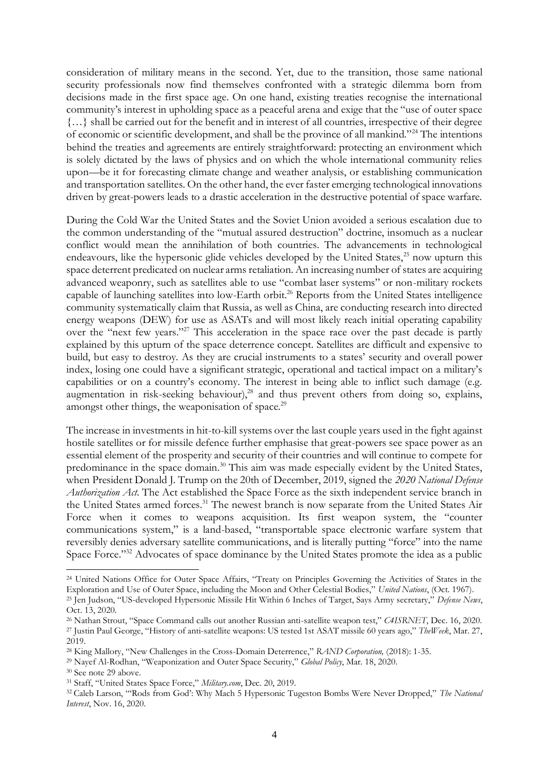consideration of military means in the second. Yet, due to the transition, those same national security professionals now find themselves confronted with a strategic dilemma born from decisions made in the first space age. On one hand, existing treaties recognise the international community's interest in upholding space as a peaceful arena and exige that the "use of outer space {…} shall be carried out for the benefit and in interest of all countries, irrespective of their degree of economic or scientific development, and shall be the province of all mankind."<sup>24</sup> The intentions behind the treaties and agreements are entirely straightforward: protecting an environment which is solely dictated by the laws of physics and on which the whole international community relies upon—be it for forecasting climate change and weather analysis, or establishing communication and transportation satellites. On the other hand, the ever faster emerging technological innovations driven by great-powers leads to a drastic acceleration in the destructive potential of space warfare.

During the Cold War the United States and the Soviet Union avoided a serious escalation due to the common understanding of the "mutual assured destruction" doctrine, insomuch as a nuclear conflict would mean the annihilation of both countries. The advancements in technological endeavours, like the hypersonic glide vehicles developed by the United States, $25$  now upturn this space deterrent predicated on nuclear arms retaliation. An increasing number of states are acquiring advanced weaponry, such as satellites able to use "combat laser systems" or non-military rockets capable of launching satellites into low-Earth orbit.<sup>26</sup> Reports from the United States intelligence community systematically claim that Russia, as well as China, are conducting research into directed energy weapons (DEW) for use as ASATs and will most likely reach initial operating capability over the "next few years."<sup>27</sup> This acceleration in the space race over the past decade is partly explained by this upturn of the space deterrence concept. Satellites are difficult and expensive to build, but easy to destroy. As they are crucial instruments to a states' security and overall power index, losing one could have a significant strategic, operational and tactical impact on a military's capabilities or on a country's economy. The interest in being able to inflict such damage (e.g. augmentation in risk-seeking behaviour), $28$  and thus prevent others from doing so, explains, amongst other things, the weaponisation of space.<sup>29</sup>

The increase in investments in hit-to-kill systems over the last couple years used in the fight against hostile satellites or for missile defence further emphasise that great-powers see space power as an essential element of the prosperity and security of their countries and will continue to compete for predominance in the space domain.<sup>30</sup> This aim was made especially evident by the United States, when President Donald J. Trump on the 20th of December, 2019, signed the *2020 National Defense Authorization Act*. The Act established the Space Force as the sixth independent service branch in the United States armed forces.<sup>31</sup> The newest branch is now separate from the United States Air Force when it comes to weapons acquisition. Its first weapon system, the "counter communications system," is a land-based, "transportable space electronic warfare system that reversibly denies adversary satellite communications, and is literally putting "force" into the name Space Force."<sup>32</sup> Advocates of space dominance by the United States promote the idea as a public

<sup>&</sup>lt;sup>24</sup> United Nations Office for Outer Space Affairs, "Treaty on Principles Governing the Activities of States in the Exploration and Use of Outer Space, including the Moon and Other Celestial Bodies," *United Nations*, (Oct. 1967).

<sup>25</sup> Jen Judson, "US-developed Hypersonic Missile Hit Within 6 Inches of Target, Says Army secretary," *Defense News*, Oct. 13, 2020.

<sup>26</sup> Nathan Strout, "Space Command calls out another Russian anti-satellite weapon test," *C4ISRNET*, Dec. 16, 2020. <sup>27</sup> Justin Paul George, "History of anti-satellite weapons: US tested 1st ASAT missile 60 years ago," *TheWeek*, Mar. 27, 2019.

<sup>28</sup> King Mallory, "New Challenges in the Cross-Domain Deterrence," *RAND Corporation,* (2018): 1-35.

<sup>29</sup> Nayef Al-Rodhan, "Weaponization and Outer Space Security," *Global Policy*, Mar. 18, 2020.

<sup>30</sup> See note 29 above.

<sup>31</sup> Staff, "United States Space Force," *Military.com*, Dec. 20, 2019.

<sup>32</sup> Caleb Larson, "'Rods from God': Why Mach 5 Hypersonic Tugeston Bombs Were Never Dropped," *The National Interest*, Nov. 16, 2020.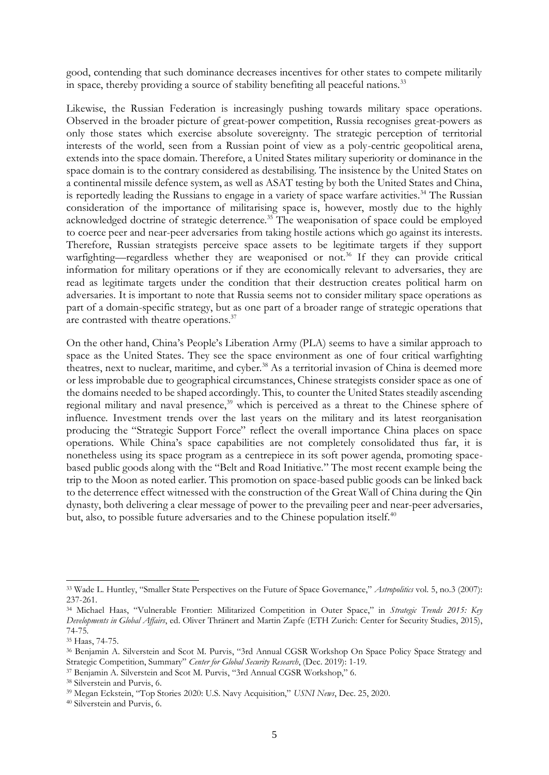good, contending that such dominance decreases incentives for other states to compete militarily in space, thereby providing a source of stability benefiting all peaceful nations.<sup>33</sup>

Likewise, the Russian Federation is increasingly pushing towards military space operations. Observed in the broader picture of great-power competition, Russia recognises great-powers as only those states which exercise absolute sovereignty. The strategic perception of territorial interests of the world, seen from a Russian point of view as a poly-centric geopolitical arena, extends into the space domain. Therefore, a United States military superiority or dominance in the space domain is to the contrary considered as destabilising. The insistence by the United States on a continental missile defence system, as well as ASAT testing by both the United States and China, is reportedly leading the Russians to engage in a variety of space warfare activities.<sup>34</sup> The Russian consideration of the importance of militarising space is, however, mostly due to the highly acknowledged doctrine of strategic deterrence.<sup>35</sup> The weaponisation of space could be employed to coerce peer and near-peer adversaries from taking hostile actions which go against its interests. Therefore, Russian strategists perceive space assets to be legitimate targets if they support warfighting—regardless whether they are weaponised or not.<sup>36</sup> If they can provide critical information for military operations or if they are economically relevant to adversaries, they are read as legitimate targets under the condition that their destruction creates political harm on adversaries. It is important to note that Russia seems not to consider military space operations as part of a domain-specific strategy, but as one part of a broader range of strategic operations that are contrasted with theatre operations.<sup>37</sup>

On the other hand, China's People's Liberation Army (PLA) seems to have a similar approach to space as the United States. They see the space environment as one of four critical warfighting theatres, next to nuclear, maritime, and cyber.<sup>38</sup> As a territorial invasion of China is deemed more or less improbable due to geographical circumstances, Chinese strategists consider space as one of the domains needed to be shaped accordingly. This, to counter the United States steadily ascending regional military and naval presence,<sup>39</sup> which is perceived as a threat to the Chinese sphere of influence. Investment trends over the last years on the military and its latest reorganisation producing the "Strategic Support Force" reflect the overall importance China places on space operations. While China's space capabilities are not completely consolidated thus far, it is nonetheless using its space program as a centrepiece in its soft power agenda, promoting spacebased public goods along with the "Belt and Road Initiative." The most recent example being the trip to the Moon as noted earlier. This promotion on space-based public goods can be linked back to the deterrence effect witnessed with the construction of the Great Wall of China during the Qin dynasty, both delivering a clear message of power to the prevailing peer and near-peer adversaries, but, also, to possible future adversaries and to the Chinese population itself.<sup>40</sup>

<sup>33</sup> Wade L. Huntley, "Smaller State Perspectives on the Future of Space Governance," *Astropolitics* vol. 5, no.3 (2007): 237-261.

<sup>34</sup> Michael Haas, "Vulnerable Frontier: Militarized Competition in Outer Space," in *Strategic Trends 2015: Key Developments in Global Affairs*, ed. Oliver Thränert and Martin Zapfe (ETH Zurich: Center for Security Studies, 2015), 74-75.

<sup>35</sup> Haas, 74-75.

<sup>36</sup> Benjamin A. Silverstein and Scot M. Purvis, "3rd Annual CGSR Workshop On Space Policy Space Strategy and Strategic Competition, Summary" *Center for Global Security Research*, (Dec. 2019): 1-19.

<sup>37</sup> Benjamin A. Silverstein and Scot M. Purvis, "3rd Annual CGSR Workshop," 6.

<sup>38</sup> Silverstein and Purvis, 6.

<sup>39</sup> Megan Eckstein, "Top Stories 2020: U.S. Navy Acquisition," *USNI News*, Dec. 25, 2020.

<sup>40</sup> Silverstein and Purvis, 6.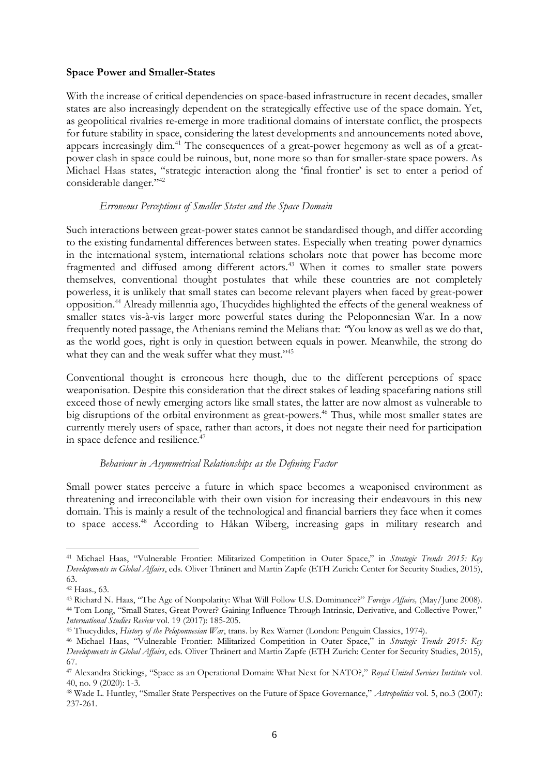### **Space Power and Smaller-States**

With the increase of critical dependencies on space-based infrastructure in recent decades, smaller states are also increasingly dependent on the strategically effective use of the space domain. Yet, as geopolitical rivalries re-emerge in more traditional domains of interstate conflict, the prospects for future stability in space, considering the latest developments and announcements noted above, appears increasingly dim.<sup>41</sup> The consequences of a great-power hegemony as well as of a greatpower clash in space could be ruinous, but, none more so than for smaller-state space powers. As Michael Haas states, "strategic interaction along the 'final frontier' is set to enter a period of considerable danger."<sup>42</sup>

### *Erroneous Perceptions of Smaller States and the Space Domain*

Such interactions between great-power states cannot be standardised though, and differ according to the existing fundamental differences between states. Especially when treating power dynamics in the international system, international relations scholars note that power has become more fragmented and diffused among different actors.<sup>43</sup> When it comes to smaller state powers themselves, conventional thought postulates that while these countries are not completely powerless, it is unlikely that small states can become relevant players when faced by great-power opposition.<sup>44</sup> Already millennia ago, Thucydides highlighted the effects of the general weakness of smaller states vis-à-vis larger more powerful states during the Peloponnesian War. In a now frequently noted passage, the Athenians remind the Melians that: *"*You know as well as we do that, as the world goes, right is only in question between equals in power. Meanwhile, the strong do what they can and the weak suffer what they must."<sup>45</sup>

Conventional thought is erroneous here though, due to the different perceptions of space weaponisation. Despite this consideration that the direct stakes of leading spacefaring nations still exceed those of newly emerging actors like small states, the latter are now almost as vulnerable to big disruptions of the orbital environment as great-powers.<sup>46</sup> Thus, while most smaller states are currently merely users of space, rather than actors, it does not negate their need for participation in space defence and resilience.<sup>47</sup>

### *Behaviour in Asymmetrical Relationships as the Defining Factor*

Small power states perceive a future in which space becomes a weaponised environment as threatening and irreconcilable with their own vision for increasing their endeavours in this new domain. This is mainly a result of the technological and financial barriers they face when it comes to space access.<sup>48</sup> According to Håkan Wiberg, increasing gaps in military research and

<sup>41</sup> Michael Haas, "Vulnerable Frontier: Militarized Competition in Outer Space," in *Strategic Trends 2015: Key Developments in Global Affairs*, eds. Oliver Thränert and Martin Zapfe (ETH Zurich: Center for Security Studies, 2015), 63.

<sup>42</sup> Haas., 63.

<sup>43</sup> Richard N. Haas, "The Age of Nonpolarity: What Will Follow U.S. Dominance?" *Foreign Affairs,* (May/June 2008). <sup>44</sup> Tom Long, "Small States, Great Power? Gaining Influence Through Intrinsic, Derivative, and Collective Power," *International Studies Review* vol. 19 (2017): 185-205.

<sup>45</sup> [Thucydides](https://archive.org/search.php?query=creator%3A%22Thucydides%22)[,](https://archive.org/search.php?query=creator%3A%22Warner%2C+Rex%2C+1905-%22) *History of the Peloponnesian War*, trans. by Rex Warner (London: Penguin Classics, 1974).

<sup>46</sup> Michael Haas, "Vulnerable Frontier: Militarized Competition in Outer Space," in *Strategic Trends 2015: Key Developments in Global Affairs*, eds. Oliver Thränert and Martin Zapfe (ETH Zurich: Center for Security Studies, 2015), 67.

<sup>47</sup> Alexandra Stickings, "Space as an Operational Domain: What Next for NATO?," *Royal United Services Institute* vol. 40, no. 9 (2020): 1-3.

<sup>48</sup> Wade L. Huntley, "Smaller State Perspectives on the Future of Space Governance," *Astropolitics* vol. 5, no.3 (2007): 237-261.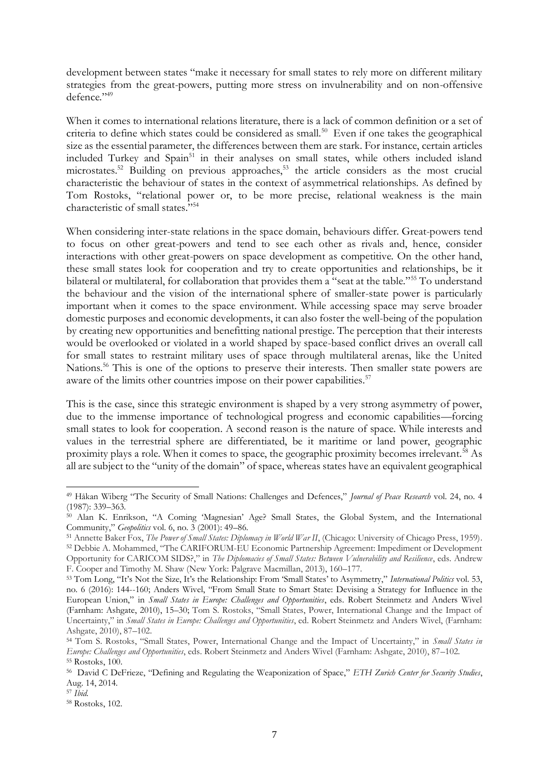development between states "make it necessary for small states to rely more on different military strategies from the great-powers, putting more stress on invulnerability and on non-offensive defence."<sup>49</sup>

When it comes to international relations literature, there is a lack of common definition or a set of criteria to define which states could be considered as small.<sup>50</sup> Even if one takes the geographical size as the essential parameter, the differences between them are stark. For instance, certain articles included Turkey and Spain<sup>51</sup> in their analyses on small states, while others included island microstates.<sup>52</sup> Building on previous approaches,<sup>53</sup> the article considers as the most crucial characteristic the behaviour of states in the context of asymmetrical relationships. As defined by Tom Rostoks, "relational power or, to be more precise, relational weakness is the main characteristic of small states."<sup>54</sup>

When considering inter-state relations in the space domain, behaviours differ. Great-powers tend to focus on other great-powers and tend to see each other as rivals and, hence, consider interactions with other great-powers on space development as competitive. On the other hand, these small states look for cooperation and try to create opportunities and relationships, be it bilateral or multilateral, for collaboration that provides them a "seat at the table."<sup>55</sup> To understand the behaviour and the vision of the international sphere of smaller-state power is particularly important when it comes to the space environment. While accessing space may serve broader domestic purposes and economic developments, it can also foster the well-being of the population by creating new opportunities and benefitting national prestige. The perception that their interests would be overlooked or violated in a world shaped by space-based conflict drives an overall call for small states to restraint military uses of space through multilateral arenas, like the United Nations.<sup>56</sup> This is one of the options to preserve their interests. Then smaller state powers are aware of the limits other countries impose on their power capabilities.<sup>57</sup>

This is the case, since this strategic environment is shaped by a very strong asymmetry of power, due to the immense importance of technological progress and economic capabilities—forcing small states to look for cooperation. A second reason is the nature of space. While interests and values in the terrestrial sphere are differentiated, be it maritime or land power, geographic proximity plays a role. When it comes to space, the geographic proximity becomes irrelevant.<sup>58</sup> As all are subject to the "unity of the domain" of space, whereas states have an equivalent geographical

<sup>49</sup> Håkan Wiberg "The Security of Small Nations: Challenges and Defences," *Journal of Peace Research* vol. 24, no. 4 (1987): 339–363.

<sup>50</sup> Alan K. Enrikson, "A Coming 'Magnesian' Age? Small States, the Global System, and the International Community," *Geopolitics* vol. 6, no. 3 (2001): 49–86.

<sup>51</sup> Annette Baker Fox, *The Power of Small States: Diplomacy in World War II*, (Chicago: University of Chicago Press, 1959). <sup>52</sup> Debbie A. Mohammed, "The CARIFORUM-EU Economic Partnership Agreement: Impediment or Development Opportunity for CARICOM SIDS?," in *The Diplomacies of Small States: Between Vulnerability and Resilience*, eds. Andrew F. Cooper and Timothy M. Shaw (New York: Palgrave Macmillan, 2013), 160–177.

<sup>53</sup> Tom Long, "It's Not the Size, It's the Relationship: From 'Small States' to Asymmetry," *International Politics* vol. 53, no. 6 (2016): 144-160; Anders Wivel, "From Small State to Smart State: Devising a Strategy for Influence in the European Union," in *Small States in Europe: Challenges and Opportunities*, eds. Robert Steinmetz and Anders Wivel (Farnham: Ashgate, 2010), 15–30; Tom S. Rostoks, "Small States, Power, International Change and the Impact of Uncertainty," in *Small States in Europe: Challenges and Opportunities*, ed. Robert Steinmetz and Anders Wivel, (Farnham: Ashgate, 2010), 87–102.

<sup>54</sup> Tom S. Rostoks, "Small States, Power, International Change and the Impact of Uncertainty," in *Small States in Europe: Challenges and Opportunities*, eds. Robert Steinmetz and Anders Wivel (Farnham: Ashgate, 2010), 87–102. <sup>55</sup> Rostoks, 100.

<sup>56</sup> David C DeFrieze, "Defining and Regulating the Weaponization of Space," *ETH Zurich Center for Security Studies*, Aug. 14, 2014.

<sup>57</sup> *Ibid.*

<sup>58</sup> Rostoks, 102.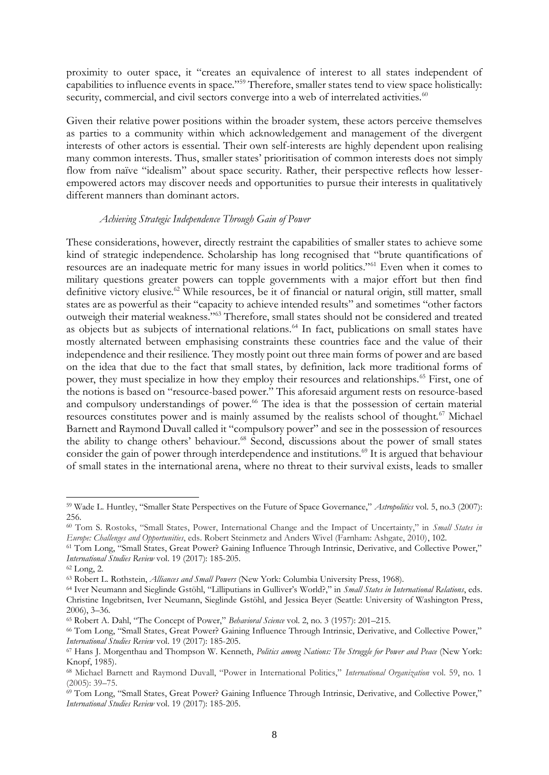proximity to outer space, it "creates an equivalence of interest to all states independent of capabilities to influence events in space."<sup>59</sup> Therefore, smaller states tend to view space holistically: security, commercial, and civil sectors converge into a web of interrelated activities.<sup>60</sup>

Given their relative power positions within the broader system, these actors perceive themselves as parties to a community within which acknowledgement and management of the divergent interests of other actors is essential. Their own self-interests are highly dependent upon realising many common interests. Thus, smaller states' prioritisation of common interests does not simply flow from naïve "idealism" about space security. Rather, their perspective reflects how lesserempowered actors may discover needs and opportunities to pursue their interests in qualitatively different manners than dominant actors.

#### *Achieving Strategic Independence Through Gain of Power*

These considerations, however, directly restraint the capabilities of smaller states to achieve some kind of strategic independence. Scholarship has long recognised that "brute quantifications of resources are an inadequate metric for many issues in world politics."<sup>61</sup> Even when it comes to military questions greater powers can topple governments with a major effort but then find definitive victory elusive.<sup>62</sup> While resources, be it of financial or natural origin, still matter, small states are as powerful as their "capacity to achieve intended results" and sometimes "other factors outweigh their material weakness."<sup>63</sup> Therefore, small states should not be considered and treated as objects but as subjects of international relations.<sup>64</sup> In fact, publications on small states have mostly alternated between emphasising constraints these countries face and the value of their independence and their resilience. They mostly point out three main forms of power and are based on the idea that due to the fact that small states, by definition, lack more traditional forms of power, they must specialize in how they employ their resources and relationships.<sup>65</sup> First, one of the notions is based on "resource-based power." This aforesaid argument rests on resource-based and compulsory understandings of power.<sup>66</sup> The idea is that the possession of certain material resources constitutes power and is mainly assumed by the realists school of thought.<sup>67</sup> Michael Barnett and Raymond Duvall called it "compulsory power" and see in the possession of resources the ability to change others' behaviour.<sup>68</sup> Second, discussions about the power of small states consider the gain of power through interdependence and institutions.<sup>69</sup> It is argued that behaviour of small states in the international arena, where no threat to their survival exists, leads to smaller

<sup>59</sup> Wade L. Huntley, "Smaller State Perspectives on the Future of Space Governance," *Astropolitics* vol. 5, no.3 (2007): 256.

<sup>60</sup> Tom S. Rostoks, "Small States, Power, International Change and the Impact of Uncertainty," in *Small States in Europe: Challenges and Opportunities*, eds. Robert Steinmetz and Anders Wivel (Farnham: Ashgate, 2010), 102.

<sup>61</sup> Tom Long, "Small States, Great Power? Gaining Influence Through Intrinsic, Derivative, and Collective Power," *International Studies Review* vol. 19 (2017): 185-205.

<sup>62</sup> Long, 2.

<sup>63</sup> Robert L. Rothstein, *Alliances and Small Powers* (New York: Columbia University Press, 1968).

<sup>64</sup> Iver Neumann and Sieglinde Gstöhl, "Lilliputians in Gulliver's World?," in *Small States in International Relations*, eds. Christine Ingebritsen, Iver Neumann, Sieglinde Gstöhl, and Jessica Beyer (Seattle: University of Washington Press, 2006), 3–36.

<sup>65</sup> Robert A. Dahl, "The Concept of Power," *Behavioral Science* vol. 2, no. 3 (1957): 201–215.

<sup>66</sup> Tom Long, "Small States, Great Power? Gaining Influence Through Intrinsic, Derivative, and Collective Power," *International Studies Review* vol. 19 (2017): 185-205.

<sup>67</sup> Hans J. Morgenthau and Thompson W. Kenneth, *Politics among Nations: The Struggle for Power and Peace* (New York: Knopf, 1985).

<sup>68</sup> Michael Barnett and Raymond Duvall, "Power in International Politics," *International Organization* vol. 59, no. 1 (2005): 39–75.

<sup>69</sup> Tom Long, "Small States, Great Power? Gaining Influence Through Intrinsic, Derivative, and Collective Power," *International Studies Review* vol. 19 (2017): 185-205.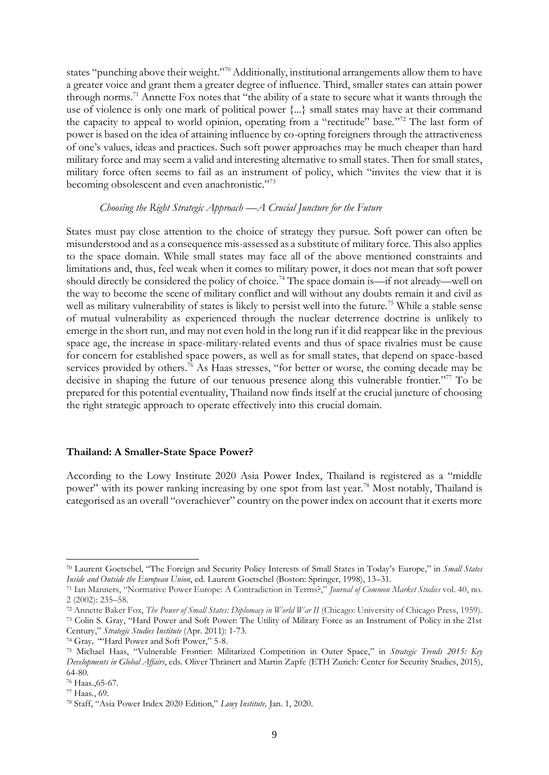states "punching above their weight."<sup>70</sup> Additionally, institutional arrangements allow them to have a greater voice and grant them a greater degree of influence. Third, smaller states can attain power through norms.<sup>71</sup> Annette Fox notes that "the ability of a state to secure what it wants through the use of violence is only one mark of political power {...} small states may have at their command the capacity to appeal to world opinion, operating from a "rectitude" base."<sup>72</sup> The last form of power is based on the idea of attaining influence by co-opting foreigners through the attractiveness of one's values, ideas and practices. Such soft power approaches may be much cheaper than hard military force and may seem a valid and interesting alternative to small states. Then for small states, military force often seems to fail as an instrument of policy, which "invites the view that it is becoming obsolescent and even anachronistic."<sup>73</sup>

### *Choosing the Right Strategic Approach* —*A Crucial Juncture for the Future*

States must pay close attention to the choice of strategy they pursue. Soft power can often be misunderstood and as a consequence mis-assessed as a substitute of military force. This also applies to the space domain. While small states may face all of the above mentioned constraints and limitations and, thus, feel weak when it comes to military power, it does not mean that soft power should directly be considered the policy of choice.<sup>74</sup> The space domain is—if not already—well on the way to become the scene of military conflict and will without any doubts remain it and civil as well as military vulnerability of states is likely to persist well into the future.<sup>75</sup> While a stable sense of mutual vulnerability as experienced through the nuclear deterrence doctrine is unlikely to emerge in the short run, and may not even hold in the long run if it did reappear like in the previous space age, the increase in space-military-related events and thus of space rivalries must be cause for concern for established space powers, as well as for small states, that depend on space-based services provided by others.<sup>76</sup> As Haas stresses, "for better or worse, the coming decade may be decisive in shaping the future of our tenuous presence along this vulnerable frontier."<sup>77</sup> To be prepared for this potential eventuality, Thailand now finds itself at the crucial juncture of choosing the right strategic approach to operate effectively into this crucial domain.

#### **Thailand: A Smaller-State Space Power?**

According to the Lowy Institute 2020 Asia Power Index, Thailand is registered as a "middle power" with its power ranking increasing by one spot from last year.<sup>78</sup> Most notably, Thailand is categorised as an overall "overachiever" country on the power index on account that it exerts more

<sup>70</sup> Laurent Goetschel, "The Foreign and Security Policy Interests of Small States in Today's Europe," in *Small States Inside and Outside the European Union*, ed. Laurent Goetschel (Boston: Springer, 1998), 13–31.

<sup>71</sup> Ian Manners, "Normative Power Europe: A Contradiction in Terms?," *Journal of Common Market Studies* vol. 40, no. 2 (2002): 235–58.

<sup>72</sup> Annette Baker Fox, *The Power of Small States: Diplomacy in World War II* (Chicago: University of Chicago Press, 1959). <sup>73</sup> Colin S. Gray, "Hard Power and Soft Power: The Utility of Military Force as an Instrument of Policy in the 21st Century," *Strategic Studies Institute* (Apr. 2011): 1-73.

<sup>74</sup> Gray*, "*"Hard Power and Soft Power," 5-8.

<sup>75</sup> Michael Haas, "Vulnerable Frontier: Militarized Competition in Outer Space," in *Strategic Trends 2015: Key Developments in Global Affairs*, eds. Oliver Thränert and Martin Zapfe (ETH Zurich: Center for Security Studies, 2015), 64-80.

<sup>76</sup> Haas.,65-67.

<sup>77</sup> Haas*.*, 69.

<sup>78</sup> Staff, "Asia Power Index 2020 Edition," *Lowy Institute,* Jan. 1, 2020.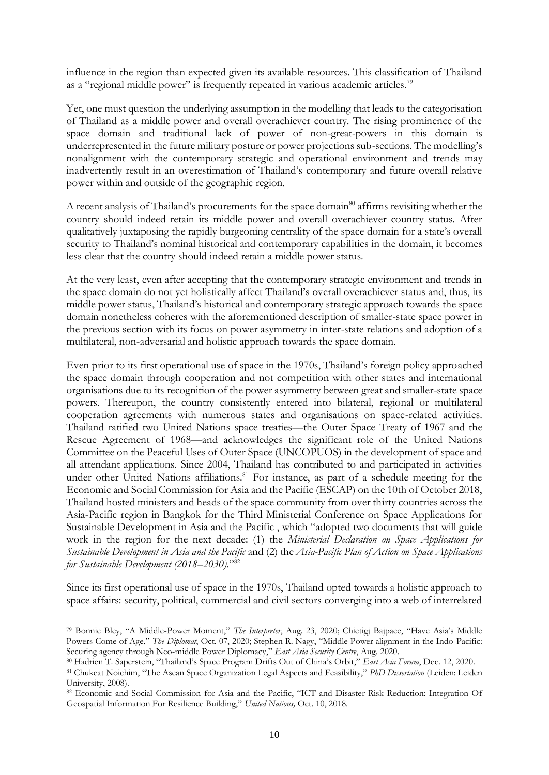influence in the region than expected given its available resources. This classification of Thailand as a "regional middle power" is frequently repeated in various academic articles.<sup>79</sup>

Yet, one must question the underlying assumption in the modelling that leads to the categorisation of Thailand as a middle power and overall overachiever country. The rising prominence of the space domain and traditional lack of power of non-great-powers in this domain is underrepresented in the future military posture or power projections sub-sections. The modelling's nonalignment with the contemporary strategic and operational environment and trends may inadvertently result in an overestimation of Thailand's contemporary and future overall relative power within and outside of the geographic region.

A recent analysis of Thailand's procurements for the space domain<sup>80</sup> affirms revisiting whether the country should indeed retain its middle power and overall overachiever country status. After qualitatively juxtaposing the rapidly burgeoning centrality of the space domain for a state's overall security to Thailand's nominal historical and contemporary capabilities in the domain, it becomes less clear that the country should indeed retain a middle power status.

At the very least, even after accepting that the contemporary strategic environment and trends in the space domain do not yet holistically affect Thailand's overall overachiever status and, thus, its middle power status, Thailand's historical and contemporary strategic approach towards the space domain nonetheless coheres with the aforementioned description of smaller-state space power in the previous section with its focus on power asymmetry in inter-state relations and adoption of a multilateral, non-adversarial and holistic approach towards the space domain.

Even prior to its first operational use of space in the 1970s, Thailand's foreign policy approached the space domain through cooperation and not competition with other states and international organisations due to its recognition of the power asymmetry between great and smaller-state space powers. Thereupon, the country consistently entered into bilateral, regional or multilateral cooperation agreements with numerous states and organisations on space-related activities. Thailand ratified two United Nations space treaties—the Outer Space Treaty of 1967 and the Rescue Agreement of 1968—and acknowledges the significant role of the United Nations Committee on the Peaceful Uses of Outer Space (UNCOPUOS) in the development of space and all attendant applications. Since 2004, Thailand has contributed to and participated in activities under other United Nations affiliations.<sup>81</sup> For instance, as part of a schedule meeting for the Economic and Social Commission for Asia and the Pacific (ESCAP) on the 10th of October 2018, Thailand hosted ministers and heads of the space community from over thirty countries across the Asia-Pacific region in Bangkok for the Third Ministerial Conference on Space Applications for Sustainable Development in Asia and the Pacific , which "adopted two documents that will guide work in the region for the next decade: (1) the *Ministerial Declaration on Space Applications for Sustainable Development in Asia and the Pacific* and (2) the *Asia-Pacific Plan of Action on Space Applications for Sustainable Development (2018–2030)*."<sup>82</sup>

Since its first operational use of space in the 1970s, Thailand opted towards a holistic approach to space affairs: security, political, commercial and civil sectors converging into a web of interrelated

<sup>79</sup> Bonnie Bley, "A Middle-Power Moment," *The Interpreter*, Aug. 23, 2020; Chietigj Bajpaee, "Have Asia's Middle Powers Come of Age," *The Diplomat*, Oct. 07, 2020; Stephen R. Nagy, "Middle Power alignment in the Indo-Pacific: Securing agency through Neo-middle Power Diplomacy," *East Asia Security Centre*, Aug. 2020.

<sup>80</sup> Hadrien T. Saperstein, "Thailand's Space Program Drifts Out of China's Orbit," *East Asia Forum*, Dec. 12, 2020.

<sup>81</sup> Chukeat Noichim, "The Asean Space Organization Legal Aspects and Feasibility," *PhD Dissertation* (Leiden: Leiden University, 2008).

<sup>82</sup> Economic and Social Commission for Asia and the Pacific, "ICT and Disaster Risk Reduction: Integration Of Geospatial Information For Resilience Building," *United Nations,* Oct. 10, 2018.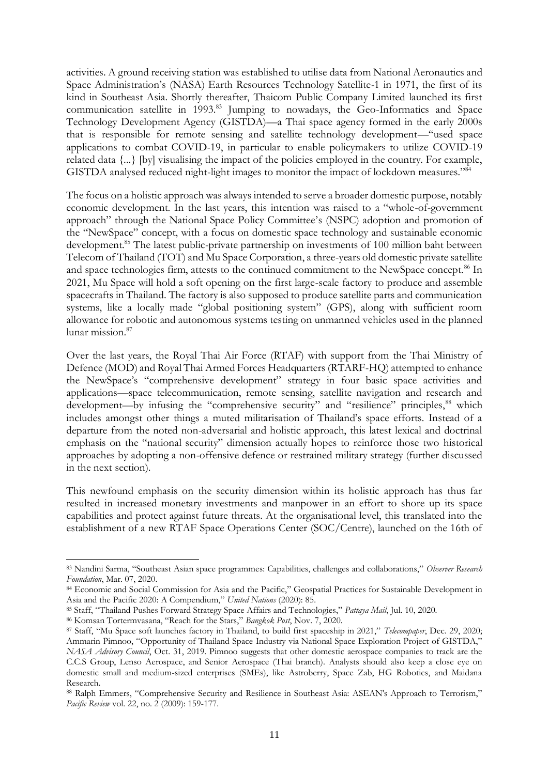activities. A ground receiving station was established to utilise data from National Aeronautics and Space Administration's (NASA) Earth Resources Technology Satellite-1 in 1971, the first of its kind in Southeast Asia. Shortly thereafter, Thaicom Public Company Limited launched its first communication satellite in 1993.<sup>83</sup> Jumping to nowadays, the Geo-Informatics and Space Technology Development Agency (GISTDA)—a Thai space agency formed in the early 2000s that is responsible for remote sensing and satellite technology development—"used space applications to combat COVID-19, in particular to enable policymakers to utilize COVID-19 related data {...} [by] visualising the impact of the policies employed in the country. For example, GISTDA analysed reduced night-light images to monitor the impact of lockdown measures."<sup>84</sup>

The focus on a holistic approach was always intended to serve a broader domestic purpose, notably economic development. In the last years, this intention was raised to a "whole-of-government approach" through the National Space Policy Committee's (NSPC) adoption and promotion of the "NewSpace" concept, with a focus on domestic space technology and sustainable economic development.<sup>85</sup> The latest public-private partnership on investments of 100 million baht between Telecom of Thailand (TOT) and Mu Space Corporation, a three-years old domestic private satellite and space technologies firm, attests to the continued commitment to the NewSpace concept.<sup>86</sup> In 2021, Mu Space will hold a soft opening on the first large-scale factory to produce and assemble spacecrafts in Thailand. The factory is also supposed to produce satellite parts and communication systems, like a locally made "global positioning system" (GPS), along with sufficient room allowance for robotic and autonomous systems testing on unmanned vehicles used in the planned lunar mission.<sup>87</sup>

Over the last years, the Royal Thai Air Force (RTAF) with support from the Thai Ministry of Defence (MOD) and Royal Thai Armed Forces Headquarters (RTARF-HQ) attempted to enhance the NewSpace's "comprehensive development" strategy in four basic space activities and applications—space telecommunication, remote sensing, satellite navigation and research and development—by infusing the "comprehensive security" and "resilience" principles,  $88$  which includes amongst other things a muted militarisation of Thailand's space efforts. Instead of a departure from the noted non-adversarial and holistic approach, this latest lexical and doctrinal emphasis on the "national security" dimension actually hopes to reinforce those two historical approaches by adopting a non-offensive defence or restrained military strategy (further discussed in the next section).

This newfound emphasis on the security dimension within its holistic approach has thus far resulted in increased monetary investments and manpower in an effort to shore up its space capabilities and protect against future threats. At the organisational level, this translated into the establishment of a new RTAF Space Operations Center (SOC/Centre), launched on the 16th of

<sup>83</sup> Nandini Sarma, "Southeast Asian space programmes: Capabilities, challenges and collaborations," *Observer Research Foundation*, Mar. 07, 2020.

<sup>84</sup> Economic and Social Commission for Asia and the Pacific," Geospatial Practices for Sustainable Development in Asia and the Pacific 2020: A Compendium," *United Nations* (2020): 85.

<sup>85</sup> Staff, "Thailand Pushes Forward Strategy Space Affairs and Technologies," *Pattaya Mail*, Jul. 10, 2020.

<sup>86</sup> Komsan Tortermvasana, "Reach for the Stars," *Bangkok Post*, Nov. 7, 2020.

<sup>87</sup> Staff, "Mu Space soft launches factory in Thailand, to build first spaceship in 2021," *Telecompaper*, Dec. 29, 2020; Ammarin Pimnoo, "Opportunity of Thailand Space Industry via National Space Exploration Project of GISTDA," *NASA Advisory Council*, Oct. 31, 2019. Pimnoo suggests that other domestic aerospace companies to track are the C.C.S Group, Lenso Aerospace, and Senior Aerospace (Thai branch). Analysts should also keep a close eye on domestic small and medium-sized enterprises (SMEs), like Astroberry, Space Zab, HG Robotics, and Maidana Research.

<sup>88</sup> Ralph Emmers, "Comprehensive Security and Resilience in Southeast Asia: ASEAN's Approach to Terrorism," *Pacific Review* vol. 22, no. 2 (2009): 159-177.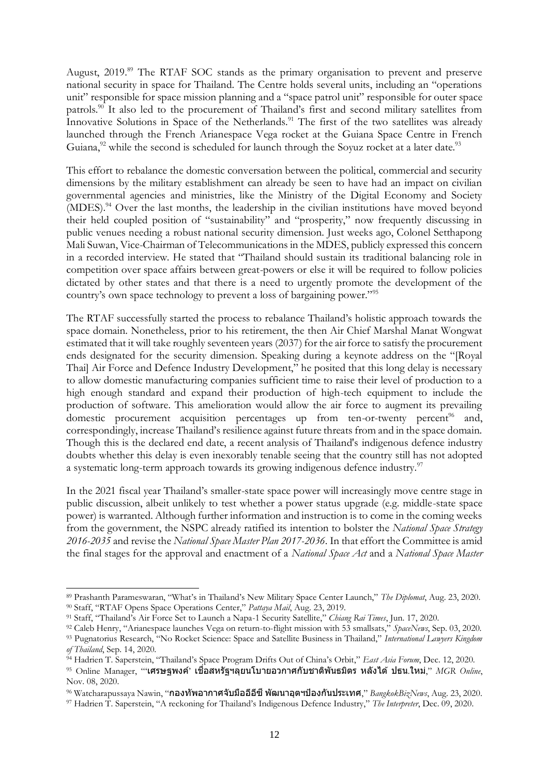August, 2019.<sup>89</sup> The RTAF SOC stands as the primary organisation to prevent and preserve national security in space for Thailand. The Centre holds several units, including an "operations unit" responsible for space mission planning and a "space patrol unit" responsible for outer space patrols.<sup>90</sup> It also led to the procurement of Thailand's first and second military satellites from Innovative Solutions in Space of the Netherlands.<sup>91</sup> The first of the two satellites was already launched through the French Arianespace Vega rocket at the Guiana Space Centre in French Guiana,  $^{92}$  while the second is scheduled for launch through the Soyuz rocket at a later date.<sup>93</sup>

This effort to rebalance the domestic conversation between the political, commercial and security dimensions by the military establishment can already be seen to have had an impact on civilian governmental agencies and ministries, like the Ministry of the Digital Economy and Society (MDES).<sup>94</sup> Over the last months, the leadership in the civilian institutions have moved beyond their held coupled position of "sustainability" and "prosperity," now frequently discussing in public venues needing a robust national security dimension. Just weeks ago, Colonel Setthapong Mali Suwan, Vice-Chairman of Telecommunications in the MDES, publicly expressed this concern in a recorded interview. He stated that "Thailand should sustain its traditional balancing role in competition over space affairs between great-powers or else it will be required to follow policies dictated by other states and that there is a need to urgently promote the development of the country's own space technology to prevent a loss of bargaining power."<sup>95</sup>

The RTAF successfully started the process to rebalance Thailand's holistic approach towards the space domain. Nonetheless, prior to his retirement, the then Air Chief Marshal Manat Wongwat estimated that it will take roughly seventeen years (2037) for the air force to satisfy the procurement ends designated for the security dimension. Speaking during a keynote address on the "[Royal Thai] Air Force and Defence Industry Development," he posited that this long delay is necessary to allow domestic manufacturing companies sufficient time to raise their level of production to a high enough standard and expand their production of high-tech equipment to include the production of software. This amelioration would allow the air force to augment its prevailing domestic procurement acquisition percentages up from ten-or-twenty percent<sup>96</sup> and, correspondingly, increase Thailand's resilience against future threats from and in the space domain. Though this is the declared end date, a recent analysis of Thailand's indigenous defence industry doubts whether this delay is even inexorably tenable seeing that the country still has not adopted a systematic long-term approach towards its growing indigenous defence industry.<sup>97</sup>

In the 2021 fiscal year Thailand's smaller-state space power will increasingly move centre stage in public discussion, albeit unlikely to test whether a power status upgrade (e.g. middle-state space power) is warranted. Although further information and instruction is to come in the coming weeks from the government, the NSPC already ratified its intention to bolster the *National Space Strategy 2016-2035* and revise the *National Space Master Plan 2017-2036*. In that effort the Committee is amid the final stages for the approval and enactment of a *National Space Act* and a *National Space Master* 

<sup>89</sup> Prashanth Parameswaran, "What's in Thailand's New Military Space Center Launch," *The Diplomat*, Aug. 23, 2020. <sup>90</sup> Staff, "RTAF Opens Space Operations Center," *Pattaya Mail*, Aug. 23, 2019.

<sup>91</sup> Staff, "Thailand's Air Force Set to Launch a Napa-1 Security Satellite," *Chiang Rai Times*, Jun. 17, 2020.

<sup>92</sup> Caleb Henry, "Arianespace launches Vega on return-to-flight mission with 53 smallsats," *SpaceNews*, Sep. 03, 2020.

<sup>93</sup> Pugnatorius Research, "No Rocket Science: Space and Satellite Business in Thailand," *International Lawyers Kingdom of Thailand*, Sep. 14, 2020.

<sup>&</sup>lt;sup>94</sup> Hadrien T. Saperstein, "Thailand's Space Program Drifts Out of China's Orbit," *East Asia Forum*, Dec. 12, 2020.

 $95$  Online Manager, "'เศรษฐพงค์' เชื่อสหรัฐฯลุยนโบายอวกาศกับชาติพันธมิตร หลังได้ ปธน.ใหม่,"  $MGR$  Online, Nov. 08, 2020.

<sup>&</sup>lt;sup>96</sup> Watcharapussaya Nawin, "**กองทัพอากาศจับมืออีอีชี พัฒนาอุตฯป้องกันประเทศ**," *BangkokBizNews*, Aug. 23, 2020.

<sup>97</sup> Hadrien T. Saperstein, "A reckoning for Thailand's Indigenous Defence Industry," *The Interpreter*, Dec. 09, 2020.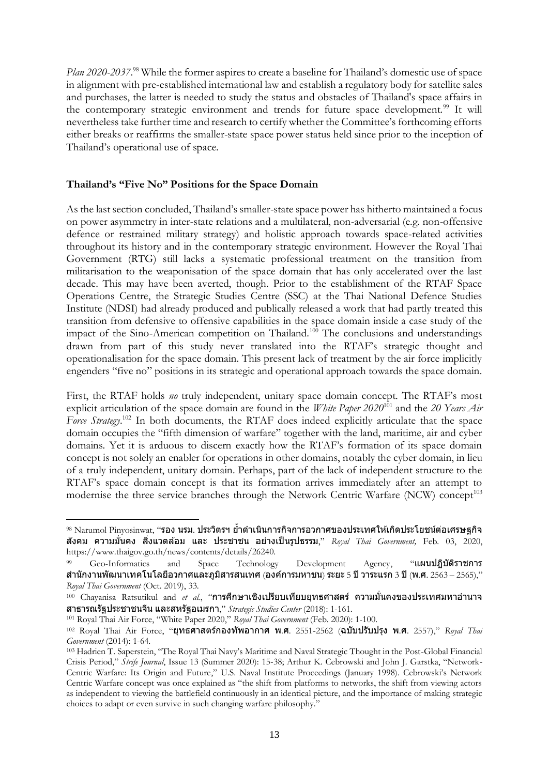Plan 2020-2037.<sup>98</sup> While the former aspires to create a baseline for Thailand's domestic use of space in alignment with pre-established international law and establish a regulatory body for satellite sales and purchases, the latter is needed to study the status and obstacles of Thailand's space affairs in the contemporary strategic environment and trends for future space development.<sup>99</sup> It will nevertheless take further time and research to certify whether the Committee's forthcoming efforts either breaks or reaffirms the smaller-state space power status held since prior to the inception of Thailand's operational use of space.

## **Thailand's "Five No" Positions for the Space Domain**

As the last section concluded, Thailand's smaller-state space power has hitherto maintained a focus on power asymmetry in inter-state relations and a multilateral, non-adversarial (e.g. non-offensive defence or restrained military strategy) and holistic approach towards space-related activities throughout its history and in the contemporary strategic environment. However the Royal Thai Government (RTG) still lacks a systematic professional treatment on the transition from militarisation to the weaponisation of the space domain that has only accelerated over the last decade. This may have been averted, though. Prior to the establishment of the RTAF Space Operations Centre, the Strategic Studies Centre (SSC) at the Thai National Defence Studies Institute (NDSI) had already produced and publically released a work that had partly treated this transition from defensive to offensive capabilities in the space domain inside a case study of the impact of the Sino-American competition on Thailand.<sup>100</sup> The conclusions and understandings drawn from part of this study never translated into the RTAF's strategic thought and operationalisation for the space domain. This present lack of treatment by the air force implicitly engenders "five no" positions in its strategic and operational approach towards the space domain.

First, the RTAF holds *no* truly independent, unitary space domain concept. The RTAF's most explicit articulation of the space domain are found in the *White Paper 2020*<sup>101</sup> and the *20 Years Air*  Force Strategy.<sup>102</sup> In both documents, the RTAF does indeed explicitly articulate that the space domain occupies the "fifth dimension of warfare" together with the land, maritime, air and cyber domains. Yet it is arduous to discern exactly how the RTAF's formation of its space domain concept is not solely an enabler for operations in other domains, notably the cyber domain, in lieu of a truly independent, unitary domain. Perhaps, part of the lack of independent structure to the RTAF's space domain concept is that its formation arrives immediately after an attempt to modernise the three service branches through the Network Centric Warfare (NCW) concept<sup>103</sup>

 $^{98}$  Narumol Pinyosinwat, "รอง นรม. ประวิตรฯ ย้ำดำเนินการกิจการอวกาศของประเทศให้เกิดประโยชน์ต่อเศรษฐกิจ สังคม ความมั่นคง สิ่งแวดล้อม และ ประชาชน อย่างเป็นรูปธรรม," Royal Thai Government, Feb. 03, 2020, https://www.thaigov.go.th/news/contents/details/26240.

<sup>99</sup> Geo-Informatics and Space Technology Development Agency, "แผนปฏิบัติราชการ สำนักงานพัฒนาเทคโนโลยีอวกาศและภูมิสารสนเทศ (องค์การมหาชน) ระยะ 5 ปี วาระแรก 3 ปี (พ.ศ. 2563 – 2565)," *Royal Thai Government* (Oct. 2019), 33.

<sup>&</sup>lt;sup>100</sup> Chayanisa Ratsutikul and *et al*., "**การศึกษาเชิงเปรียบเทียบยุทธศาสตร์ ความมั่นคงของประเทศมหาอำนาจ** สาธารณรัฐประชาชนจีน และสหรัฐอเมรกา," *Strategic Studies Center* (2018): 1-161.

<sup>101</sup> Royal Thai Air Force, "White Paper 2020," *Royal Thai Government* (Feb. 2020): 1-100.

<sup>102</sup> Royal Thai Air Force, "ยุทธศาสตร์กองทัพอากาศ พ.ศ. 2551-2562 (ฉบับปรับปรุง พ.ศ. 2557)," *Royal Thai Government* (2014): 1-64.

<sup>103</sup> Hadrien T. Saperstein, "The Royal Thai Navy's Maritime and Naval Strategic Thought in the Post-Global Financial Crisis Period," *Strife Journal*, Issue 13 (Summer 2020): 15-38; Arthur K. Cebrowski and John J. Garstka, "Network-Centric Warfare: Its Origin and Future," U.S. Naval Institute Proceedings (January 1998). Cebrowski's Network Centric Warfare concept was once explained as "the shift from platforms to networks, the shift from viewing actors as independent to viewing the battlefield continuously in an identical picture, and the importance of making strategic choices to adapt or even survive in such changing warfare philosophy."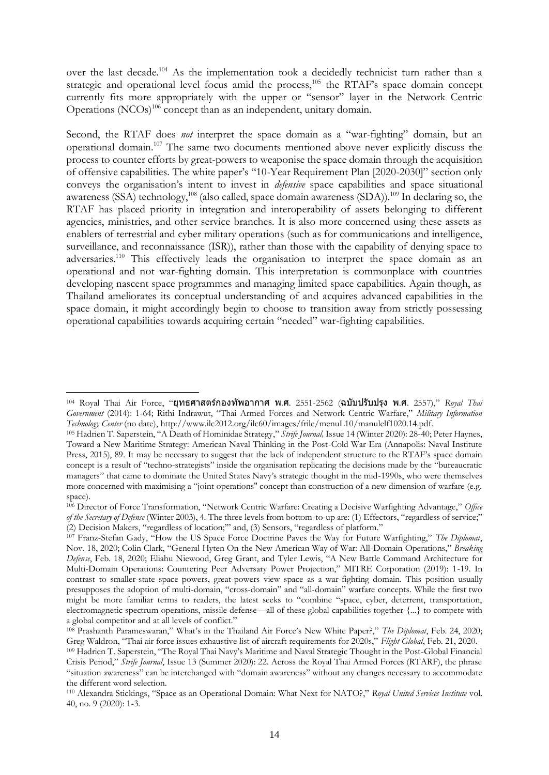over the last decade.<sup>104</sup> As the implementation took a decidedly technicist turn rather than a strategic and operational level focus amid the process,<sup>105</sup> the RTAF's space domain concept currently fits more appropriately with the upper or "sensor" layer in the Network Centric Operations (NCOs)<sup>106</sup> concept than as an independent, unitary domain.

Second, the RTAF does *not* interpret the space domain as a "war-fighting" domain, but an operational domain.<sup>107</sup> The same two documents mentioned above never explicitly discuss the process to counter efforts by great-powers to weaponise the space domain through the acquisition of offensive capabilities. The white paper's "10-Year Requirement Plan [2020-2030]" section only conveys the organisation's intent to invest in *defensive* space capabilities and space situational awareness (SSA) technology,<sup>108</sup> (also called, space domain awareness (SDA)).<sup>109</sup> In declaring so, the RTAF has placed priority in integration and interoperability of assets belonging to different agencies, ministries, and other service branches. It is also more concerned using these assets as enablers of terrestrial and cyber military operations (such as for communications and intelligence, surveillance, and reconnaissance (ISR)), rather than those with the capability of denying space to adversaries.<sup>110</sup> This effectively leads the organisation to interpret the space domain as an operational and not war-fighting domain. This interpretation is commonplace with countries developing nascent space programmes and managing limited space capabilities. Again though, as Thailand ameliorates its conceptual understanding of and acquires advanced capabilities in the space domain, it might accordingly begin to choose to transition away from strictly possessing operational capabilities towards acquiring certain "needed" war-fighting capabilities.

<sup>104</sup> Royal Thai Air Force, "ยุทธศาสตร์กองทัพอากาศ พ.ศ. 2551-2562 (ฉบับปรับปรุง พ.ศ. 2557)," *Royal Thai Government* (2014): 1-64; Rithi Indrawut, "Thai Armed Forces and Network Centric Warfare," *Military Information Technology Center* (no date), http://www.ilc2012.org/ilc60/images/frile/menuL10/manulelf1020.14.pdf.

<sup>105</sup> Hadrien T. Saperstein, "A Death of Hominidae Strategy," *Strife Journal,* Issue 14 (Winter 2020): 28-40; Peter Haynes, Toward a New Maritime Strategy: American Naval Thinking in the Post-Cold War Era (Annapolis: Naval Institute Press, 2015), 89. It may be necessary to suggest that the lack of independent structure to the RTAF's space domain concept is a result of "techno-strategists" inside the organisation replicating the decisions made by the "bureaucratic managers" that came to dominate the United States Navy's strategic thought in the mid-1990s, who were themselves more concerned with maximising a "joint operations'' concept than construction of a new dimension of warfare (e.g. space).

<sup>106</sup> Director of Force Transformation, "Network Centric Warfare: Creating a Decisive Warfighting Advantage," *Office of the Secretary of Defense* (Winter 2003), 4. The three levels from bottom-to-up are: (1) Effectors, "regardless of service;" (2) Decision Makers, "regardless of location;'" and, (3) Sensors, "regardless of platform."

<sup>107</sup> Franz-Stefan Gady, "How the US Space Force Doctrine Paves the Way for Future Warfighting," *The Diplomat*, Nov. 18, 2020; Colin Clark, "General Hyten On the New American Way of War: All-Domain Operations," *Breaking Defense*, Feb. 18, 2020; Eliahu Niewood, Greg Grant, and Tyler Lewis, "A New Battle Command Architecture for Multi-Domain Operations: Countering Peer Adversary Power Projection," MITRE Corporation (2019): 1-19. In contrast to smaller-state space powers, great-powers view space as a war-fighting domain. This position usually presupposes the adoption of multi-domain, "cross-domain" and "all-domain" warfare concepts. While the first two might be more familiar terms to readers, the latest seeks to "combine "space, cyber, deterrent, transportation, electromagnetic spectrum operations, missile defense—all of these global capabilities together {...} to compete with a global competitor and at all levels of conflict."

<sup>108</sup> Prashanth Parameswaran," What's in the Thailand Air Force's New White Paper?," *The Diplomat*, Feb. 24, 2020; Greg Waldron, "Thai air force issues exhaustive list of aircraft requirements for 2020s," *Flight Global*, Feb. 21, 2020. <sup>109</sup> Hadrien T. Saperstein, "The Royal Thai Navy's Maritime and Naval Strategic Thought in the Post-Global Financial Crisis Period," *Strife Journal*, Issue 13 (Summer 2020): 22. Across the Royal Thai Armed Forces (RTARF), the phrase "situation awareness" can be interchanged with "domain awareness" without any changes necessary to accommodate the different word selection.

<sup>110</sup> Alexandra Stickings, "Space as an Operational Domain: What Next for NATO?," *Royal United Services Institute* vol. 40, no. 9 (2020): 1-3.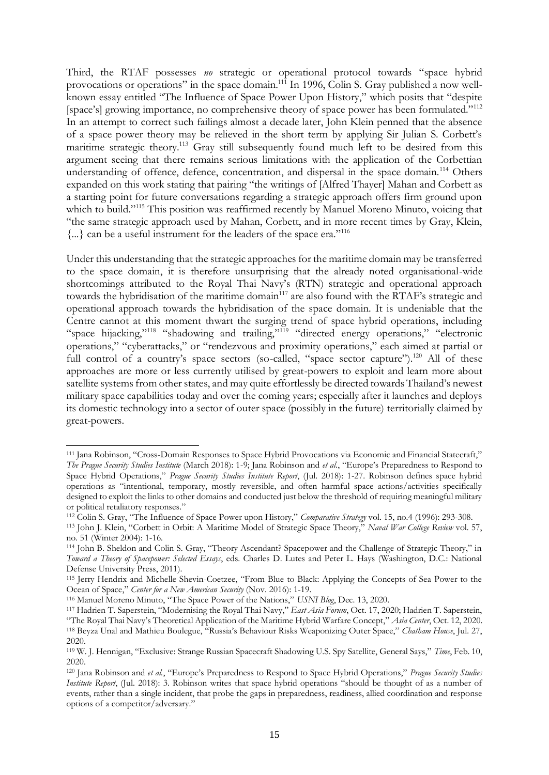Third, the RTAF possesses *no* strategic or operational protocol towards "space hybrid provocations or operations" in the space domain.<sup>111</sup> In 1996, Colin S. Gray published a now wellknown essay entitled "The Influence of Space Power Upon History," which posits that "despite [space's] growing importance, no comprehensive theory of space power has been formulated."<sup>112</sup> In an attempt to correct such failings almost a decade later, John Klein penned that the absence of a space power theory may be relieved in the short term by applying Sir Julian S. Corbett's maritime strategic theory.<sup>113</sup> Gray still subsequently found much left to be desired from this argument seeing that there remains serious limitations with the application of the Corbettian understanding of offence, defence, concentration, and dispersal in the space domain.<sup>114</sup> Others expanded on this work stating that pairing "the writings of [Alfred Thayer] Mahan and Corbett as a starting point for future conversations regarding a strategic approach offers firm ground upon which to build."<sup>115</sup> This position was reaffirmed recently by Manuel Moreno Minuto, voicing that "the same strategic approach used by Mahan, Corbett, and in more recent times by Gray, Klein,  $\{\ldots\}$  can be a useful instrument for the leaders of the space era."<sup>116</sup>

Under this understanding that the strategic approaches for the maritime domain may be transferred to the space domain, it is therefore unsurprising that the already noted organisational-wide shortcomings attributed to the Royal Thai Navy's (RTN) strategic and operational approach towards the hybridisation of the maritime domain<sup>117</sup> are also found with the RTAF's strategic and operational approach towards the hybridisation of the space domain. It is undeniable that the Centre cannot at this moment thwart the surging trend of space hybrid operations, including "space hijacking,"<sup>118</sup> "shadowing and trailing,"<sup>119</sup> "directed energy operations," "electronic operations," "cyberattacks," or "rendezvous and proximity operations," each aimed at partial or full control of a country's space sectors (so-called, "space sector capture").<sup>120</sup> All of these approaches are more or less currently utilised by great-powers to exploit and learn more about satellite systems from other states, and may quite effortlessly be directed towards Thailand's newest military space capabilities today and over the coming years; especially after it launches and deploys its domestic technology into a sector of outer space (possibly in the future) territorially claimed by great-powers.

<sup>111</sup> Jana Robinson, "Cross-Domain Responses to Space Hybrid Provocations via Economic and Financial Statecraft," *The Prague Security Studies Institute* (March 2018): 1-9; Jana Robinson and *et al.*, "Europe's Preparedness to Respond to Space Hybrid Operations," *Prague Security Studies Institute Report*, (Jul. 2018): 1-27. Robinson defines space hybrid operations as "intentional, temporary, mostly reversible, and often harmful space actions/activities specifically designed to exploit the links to other domains and conducted just below the threshold of requiring meaningful military or political retaliatory responses."

<sup>112</sup> Colin S. Gray, "The Influence of Space Power upon History," *Comparative Strategy* vol. 15, no.4 (1996): 293-308.

<sup>113</sup> John J. Klein, "Corbett in Orbit: A Maritime Model of Strategic Space Theory," *Naval War College Review* vol. 57, no. 51 (Winter 2004): 1-16.

<sup>114</sup> John B. Sheldon and Colin S. Gray, "Theory Ascendant? Spacepower and the Challenge of Strategic Theory," in *Toward a Theory of Spacepower: Selected Essays*, eds. Charles D. Lutes and Peter L. Hays (Washington, D.C.: National Defense University Press, 2011).

<sup>115</sup> Jerry Hendrix and Michelle Shevin-Coetzee, "From Blue to Black: Applying the Concepts of Sea Power to the Ocean of Space," *Center for a New American Security* (Nov. 2016): 1-19.

<sup>116</sup> Manuel Moreno Minuto, "The Space Power of the Nations," *USNI Blog*, Dec. 13, 2020.

<sup>117</sup> Hadrien T. Saperstein, "Modernising the Royal Thai Navy," *East Asia Forum*, Oct. 17, 2020; Hadrien T. Saperstein, "The Royal Thai Navy's Theoretical Application of the Maritime Hybrid Warfare Concept," *Asia Center*, Oct. 12, 2020. <sup>118</sup> Beyza Unal and Mathieu Boulegue, "Russia's Behaviour Risks Weaponizing Outer Space," *Chatham House*, Jul. 27, 2020.

<sup>119</sup> W. J. Hennigan, "Exclusive: Strange Russian Spacecraft Shadowing U.S. Spy Satellite, General Says," *Time*, Feb. 10, 2020.

<sup>120</sup> Jana Robinson and *et al.*, "Europe's Preparedness to Respond to Space Hybrid Operations," *Prague Security Studies Institute Report*, (Jul. 2018): 3. Robinson writes that space hybrid operations "should be thought of as a number of events, rather than a single incident, that probe the gaps in preparedness, readiness, allied coordination and response options of a competitor/adversary."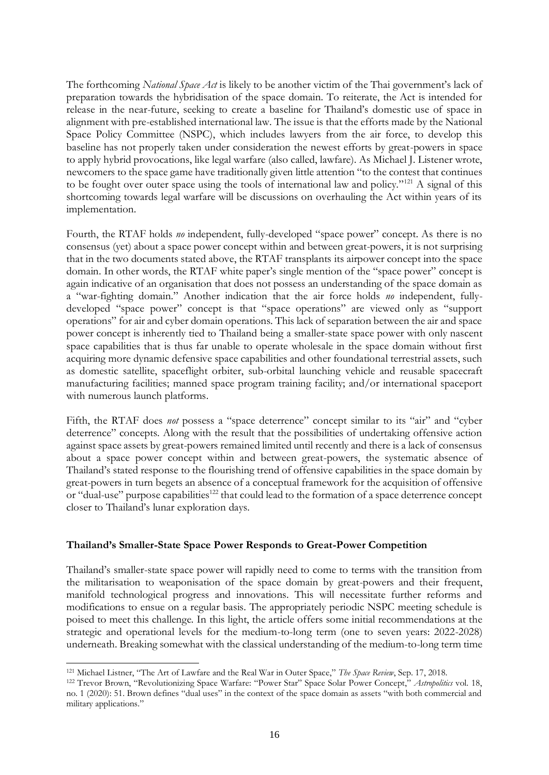The forthcoming *National Space Act* is likely to be another victim of the Thai government's lack of preparation towards the hybridisation of the space domain. To reiterate, the Act is intended for release in the near-future, seeking to create a baseline for Thailand's domestic use of space in alignment with pre-established international law. The issue is that the efforts made by the National Space Policy Committee (NSPC), which includes lawyers from the air force, to develop this baseline has not properly taken under consideration the newest efforts by great-powers in space to apply hybrid provocations, like legal warfare (also called, lawfare). As Michael J. Listener wrote, newcomers to the space game have traditionally given little attention "to the contest that continues to be fought over outer space using the tools of international law and policy."<sup>121</sup> A signal of this shortcoming towards legal warfare will be discussions on overhauling the Act within years of its implementation.

Fourth, the RTAF holds *no* independent, fully-developed "space power" concept. As there is no consensus (yet) about a space power concept within and between great-powers, it is not surprising that in the two documents stated above, the RTAF transplants its airpower concept into the space domain. In other words, the RTAF white paper's single mention of the "space power" concept is again indicative of an organisation that does not possess an understanding of the space domain as a "war-fighting domain." Another indication that the air force holds *no* independent, fullydeveloped "space power" concept is that "space operations" are viewed only as "support operations" for air and cyber domain operations. This lack of separation between the air and space power concept is inherently tied to Thailand being a smaller-state space power with only nascent space capabilities that is thus far unable to operate wholesale in the space domain without first acquiring more dynamic defensive space capabilities and other foundational terrestrial assets, such as domestic satellite, spaceflight orbiter, sub-orbital launching vehicle and reusable spacecraft manufacturing facilities; manned space program training facility; and/or international spaceport with numerous launch platforms.

Fifth, the RTAF does *not* possess a "space deterrence" concept similar to its "air" and "cyber deterrence" concepts. Along with the result that the possibilities of undertaking offensive action against space assets by great-powers remained limited until recently and there is a lack of consensus about a space power concept within and between great-powers, the systematic absence of Thailand's stated response to the flourishing trend of offensive capabilities in the space domain by great-powers in turn begets an absence of a conceptual framework for the acquisition of offensive or "dual-use" purpose capabilities<sup>122</sup> that could lead to the formation of a space deterrence concept closer to Thailand's lunar exploration days.

## **Thailand's Smaller-State Space Power Responds to Great-Power Competition**

Thailand's smaller-state space power will rapidly need to come to terms with the transition from the militarisation to weaponisation of the space domain by great-powers and their frequent, manifold technological progress and innovations. This will necessitate further reforms and modifications to ensue on a regular basis. The appropriately periodic NSPC meeting schedule is poised to meet this challenge. In this light, the article offers some initial recommendations at the strategic and operational levels for the medium-to-long term (one to seven years: 2022-2028) underneath. Breaking somewhat with the classical understanding of the medium-to-long term time

<sup>121</sup> Michael Listner, "The Art of Lawfare and the Real War in Outer Space," *The Space Review*, Sep. 17, 2018.

<sup>122</sup> Trevor Brown, "Revolutionizing Space Warfare: "Power Star" Space Solar Power Concept," *Astropolitics* vol. 18, no. 1 (2020): 51. Brown defines "dual uses" in the context of the space domain as assets "with both commercial and military applications."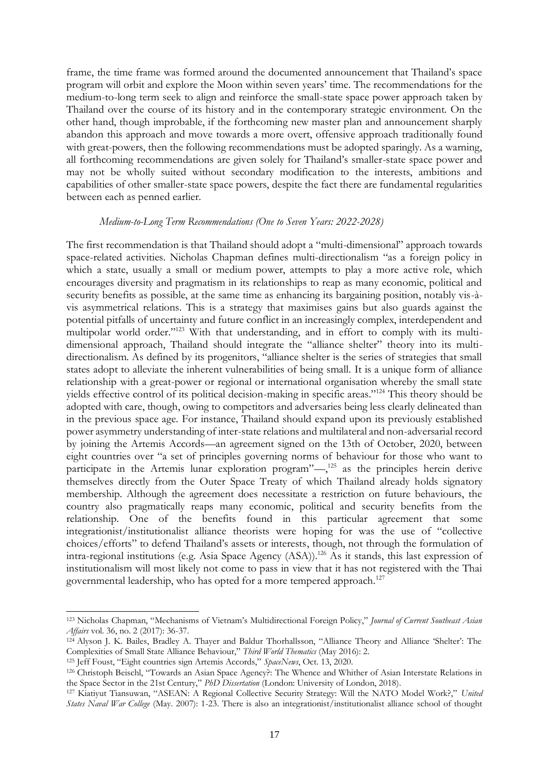frame, the time frame was formed around the documented announcement that Thailand's space program will orbit and explore the Moon within seven years' time. The recommendations for the medium-to-long term seek to align and reinforce the small-state space power approach taken by Thailand over the course of its history and in the contemporary strategic environment. On the other hand, though improbable, if the forthcoming new master plan and announcement sharply abandon this approach and move towards a more overt, offensive approach traditionally found with great-powers, then the following recommendations must be adopted sparingly. As a warning, all forthcoming recommendations are given solely for Thailand's smaller-state space power and may not be wholly suited without secondary modification to the interests, ambitions and capabilities of other smaller-state space powers, despite the fact there are fundamental regularities between each as penned earlier.

#### *Medium-to-Long Term Recommendations (One to Seven Years: 2022-2028)*

The first recommendation is that Thailand should adopt a "multi-dimensional" approach towards space-related activities. Nicholas Chapman defines multi-directionalism "as a foreign policy in which a state, usually a small or medium power, attempts to play a more active role, which encourages diversity and pragmatism in its relationships to reap as many economic, political and security benefits as possible, at the same time as enhancing its bargaining position, notably vis-àvis asymmetrical relations. This is a strategy that maximises gains but also guards against the potential pitfalls of uncertainty and future conflict in an increasingly complex, interdependent and multipolar world order."<sup>123</sup> With that understanding, and in effort to comply with its multidimensional approach, Thailand should integrate the "alliance shelter" theory into its multidirectionalism. As defined by its progenitors, "alliance shelter is the series of strategies that small states adopt to alleviate the inherent vulnerabilities of being small. It is a unique form of alliance relationship with a great-power or regional or international organisation whereby the small state yields effective control of its political decision-making in specific areas."<sup>124</sup> This theory should be adopted with care, though, owing to competitors and adversaries being less clearly delineated than in the previous space age. For instance, Thailand should expand upon its previously established power asymmetry understanding of inter-state relations and multilateral and non-adversarial record by joining the Artemis Accords—an agreement signed on the 13th of October, 2020, between eight countries over "a set of principles governing norms of behaviour for those who want to participate in the Artemis lunar exploration program"—,<sup>125</sup> as the principles herein derive themselves directly from the Outer Space Treaty of which Thailand already holds signatory membership. Although the agreement does necessitate a restriction on future behaviours, the country also pragmatically reaps many economic, political and security benefits from the relationship. One of the benefits found in this particular agreement that some integrationist/institutionalist alliance theorists were hoping for was the use of "collective choices/efforts" to defend Thailand's assets or interests, though, not through the formulation of intra-regional institutions (e.g. Asia Space Agency (ASA)).<sup>126</sup> As it stands, this last expression of institutionalism will most likely not come to pass in view that it has not registered with the Thai governmental leadership, who has opted for a more tempered approach.<sup>127</sup>

<sup>123</sup> Nicholas Chapman, "Mechanisms of Vietnam's Multidirectional Foreign Policy," *Journal of Current Southeast Asian Affairs* vol. 36, no. 2 (2017): 36-37.

<sup>&</sup>lt;sup>124</sup> Alyson J. K. Bailes, Bradley A. Thayer and Baldur Thorhallsson, "Alliance Theory and Alliance 'Shelter': The Complexities of Small State Alliance Behaviour," *Third World Thematics* (May 2016): 2.

<sup>125</sup> Jeff Foust, "Eight countries sign Artemis Accords," *SpaceNews*, Oct. 13, 2020.

<sup>126</sup> Christoph Beischl, "Towards an Asian Space Agency?: The Whence and Whither of Asian Interstate Relations in the Space Sector in the 21st Century," *PhD Dissertation* (London: University of London, 2018).

<sup>127</sup> Kiatiyut Tiansuwan, "ASEAN: A Regional Collective Security Strategy: Will the NATO Model Work?," *United States Naval War College* (May. 2007): 1-23. There is also an integrationist/institutionalist alliance school of thought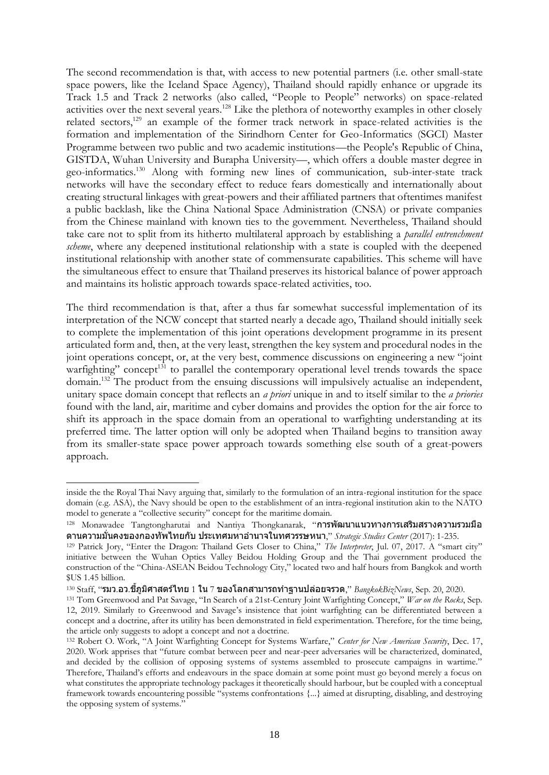The second recommendation is that, with access to new potential partners (i.e. other small-state space powers, like the Iceland Space Agency), Thailand should rapidly enhance or upgrade its Track 1.5 and Track 2 networks (also called, "People to People" networks) on space-related activities over the next several years.<sup>128</sup> Like the plethora of noteworthy examples in other closely related sectors,<sup>129</sup> an example of the former track network in space-related activities is the formation and implementation of the Sirindhorn Center for Geo-Informatics (SGCI) Master Programme between two public and two academic institutions—the People's Republic of China, GISTDA, Wuhan University and Burapha University—, which offers a double master degree in geo-informatics.<sup>130</sup> Along with forming new lines of communication, sub-inter-state track networks will have the secondary effect to reduce fears domestically and internationally about creating structural linkages with great-powers and their affiliated partners that oftentimes manifest a public backlash, like the China National Space Administration (CNSA) or private companies from the Chinese mainland with known ties to the government. Nevertheless, Thailand should take care not to split from its hitherto multilateral approach by establishing a *parallel entrenchment scheme*, where any deepened institutional relationship with a state is coupled with the deepened institutional relationship with another state of commensurate capabilities. This scheme will have the simultaneous effect to ensure that Thailand preserves its historical balance of power approach and maintains its holistic approach towards space-related activities, too.

The third recommendation is that, after a thus far somewhat successful implementation of its interpretation of the NCW concept that started nearly a decade ago, Thailand should initially seek to complete the implementation of this joint operations development programme in its present articulated form and, then, at the very least, strengthen the key system and procedural nodes in the joint operations concept, or, at the very best, commence discussions on engineering a new "joint warfighting" concept<sup>131</sup> to parallel the contemporary operational level trends towards the space domain.<sup>132</sup> The product from the ensuing discussions will impulsively actualise an independent, unitary space domain concept that reflects an *a priori* unique in and to itself similar to the *a priories* found with the land, air, maritime and cyber domains and provides the option for the air force to shift its approach in the space domain from an operational to warfighting understanding at its preferred time. The latter option will only be adopted when Thailand begins to transition away from its smaller-state space power approach towards something else south of a great-powers approach.

inside the the Royal Thai Navy arguing that, similarly to the formulation of an intra-regional institution for the space domain (e.g. ASA), the Navy should be open to the establishment of an intra-regional institution akin to the NATO model to generate a "collective security" concept for the maritime domain.

<sup>128</sup> Monawadee Tangtongharutai and Nantiya Thongkanarak, "การพัฒนาแนวทางการเสริมสรางความรวมมือ ดานความมั่นคงของกองทัพไทยกับ ประเทศมหาอ านาจในทศวรรษหนา," *Strategic Studies Center* (2017): 1-235.

<sup>129</sup> Patrick Jory, "Enter the Dragon: Thailand Gets Closer to China," *The Interpreter*, Jul. 07, 2017. A "smart city" initiative between the Wuhan Optics Valley Beidou Holding Group and the Thai government produced the construction of the "China-ASEAN Beidou Technology City," located two and half hours from Bangkok and worth \$US 1.45 billion.

<sup>130</sup> Staff, "รมว.อว.ชภี้ ูมศิ าสตรไ์ ทย 1 ใน 7 ของโลกสามารถท าฐานปล่อยจรวด," *BangkokBizNews*, Sep. 20, 2020.

<sup>131</sup> Tom Greenwood and Pat Savage, "In Search of a 21st-Century Joint Warfighting Concept," *War on the Rocks*, Sep. 12, 2019. Similarly to Greenwood and Savage's insistence that joint warfighting can be differentiated between a concept and a doctrine, after its utility has been demonstrated in field experimentation. Therefore, for the time being, the article only suggests to adopt a concept and not a doctrine.

<sup>132</sup> Robert O. Work, "A Joint Warfighting Concept for Systems Warfare," *Center for New American Security*, Dec. 17, 2020. Work apprises that "future combat between peer and near-peer adversaries will be characterized, dominated, and decided by the collision of opposing systems of systems assembled to prosecute campaigns in wartime." Therefore, Thailand's efforts and endeavours in the space domain at some point must go beyond merely a focus on what constitutes the appropriate technology packages it theoretically should harbour, but be coupled with a conceptual framework towards encountering possible "systems confrontations {...} aimed at disrupting, disabling, and destroying the opposing system of systems."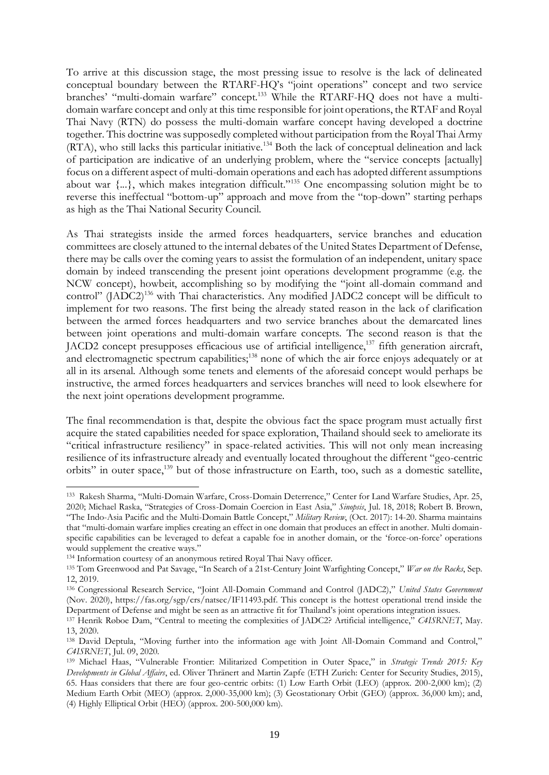To arrive at this discussion stage, the most pressing issue to resolve is the lack of delineated conceptual boundary between the RTARF-HQ's "joint operations" concept and two service branches' "multi-domain warfare" concept.<sup>133</sup> While the RTARF-HQ does not have a multidomain warfare concept and only at this time responsible for joint operations, the RTAF and Royal Thai Navy (RTN) do possess the multi-domain warfare concept having developed a doctrine together. This doctrine was supposedly completed without participation from the Royal Thai Army (RTA), who still lacks this particular initiative.<sup>134</sup> Both the lack of conceptual delineation and lack of participation are indicative of an underlying problem, where the "service concepts [actually] focus on a different aspect of multi-domain operations and each has adopted different assumptions about war {...}, which makes integration difficult."<sup>135</sup> One encompassing solution might be to reverse this ineffectual "bottom-up" approach and move from the "top-down" starting perhaps as high as the Thai National Security Council.

As Thai strategists inside the armed forces headquarters, service branches and education committees are closely attuned to the internal debates of the United States Department of Defense, there may be calls over the coming years to assist the formulation of an independent, unitary space domain by indeed transcending the present joint operations development programme (e.g. the NCW concept), howbeit, accomplishing so by modifying the "joint all-domain command and control" (JADC2)<sup>136</sup> with Thai characteristics. Any modified JADC2 concept will be difficult to implement for two reasons. The first being the already stated reason in the lack of clarification between the armed forces headquarters and two service branches about the demarcated lines between joint operations and multi-domain warfare concepts. The second reason is that the JACD2 concept presupposes efficacious use of artificial intelligence,<sup>137</sup> fifth generation aircraft, and electromagnetic spectrum capabilities;<sup>138</sup> none of which the air force enjoys adequately or at all in its arsenal. Although some tenets and elements of the aforesaid concept would perhaps be instructive, the armed forces headquarters and services branches will need to look elsewhere for the next joint operations development programme.

The final recommendation is that, despite the obvious fact the space program must actually first acquire the stated capabilities needed for space exploration, Thailand should seek to ameliorate its "critical infrastructure resiliency" in space-related activities. This will not only mean increasing resilience of its infrastructure already and eventually located throughout the different "geo-centric orbits" in outer space,<sup>139</sup> but of those infrastructure on Earth, too, such as a domestic satellite,

<sup>133</sup> Rakesh Sharma, "Multi-Domain Warfare, Cross-Domain Deterrence," Center for Land Warfare Studies, Apr. 25, 2020; Michael Raska, "Strategies of Cross-Domain Coercion in East Asia," *Sinopsis*, Jul. 18, 2018; Robert B. Brown, "The Indo-Asia Pacific and the Multi-Domain Battle Concept," *Military Review*, (Oct. 2017): 14-20. Sharma maintains that "multi-domain warfare implies creating an effect in one domain that produces an effect in another. Multi domainspecific capabilities can be leveraged to defeat a capable foe in another domain, or the 'force-on-force' operations would supplement the creative ways."

<sup>134</sup> Information courtesy of an anonymous retired Royal Thai Navy officer.

<sup>135</sup> Tom Greenwood and Pat Savage, "In Search of a 21st-Century Joint Warfighting Concept," *War on the Rocks*, Sep. 12, 2019.

<sup>136</sup> Congressional Research Service, "Joint All-Domain Command and Control (JADC2)," *United States Government* (Nov. 2020), https://fas.org/sgp/crs/natsec/IF11493.pdf. This concept is the hottest operational trend inside the Department of Defense and might be seen as an attractive fit for Thailand's joint operations integration issues.

<sup>137</sup> Henrik Røboe Dam, "Central to meeting the complexities of JADC2? Artificial intelligence," *C4ISRNET*, May. 13, 2020.

<sup>&</sup>lt;sup>138</sup> David Deptula, "Moving further into the information age with Joint All-Domain Command and Control," *C4ISRNET*, Jul. 09, 2020.

<sup>139</sup> Michael Haas, "Vulnerable Frontier: Militarized Competition in Outer Space," in *Strategic Trends 2015: Key Developments in Global Affairs*, ed. Oliver Thränert and Martin Zapfe (ETH Zurich: Center for Security Studies, 2015), 65. Haas considers that there are four geo-centric orbits: (1) Low Earth Orbit (LEO) (approx. 200-2,000 km); (2) Medium Earth Orbit (MEO) (approx. 2,000-35,000 km); (3) Geostationary Orbit (GEO) (approx. 36,000 km); and, (4) Highly Elliptical Orbit (HEO) (approx. 200-500,000 km).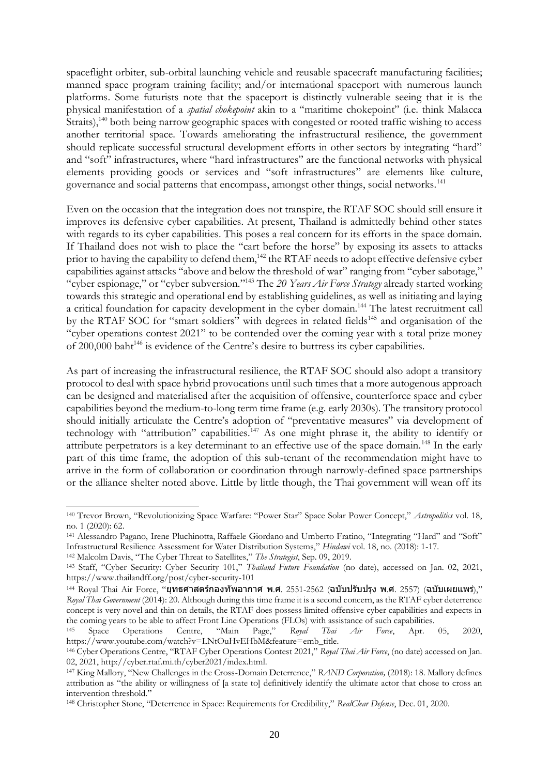spaceflight orbiter, sub-orbital launching vehicle and reusable spacecraft manufacturing facilities; manned space program training facility; and/or international spaceport with numerous launch platforms. Some futurists note that the spaceport is distinctly vulnerable seeing that it is the physical manifestation of a *spatial chokepoint* akin to a "maritime chokepoint" (i.e. think Malacca Straits),<sup>140</sup> both being narrow geographic spaces with congested or rooted traffic wishing to access another territorial space. Towards ameliorating the infrastructural resilience, the government should replicate successful structural development efforts in other sectors by integrating "hard" and "soft" infrastructures, where "hard infrastructures" are the functional networks with physical elements providing goods or services and "soft infrastructures" are elements like culture, governance and social patterns that encompass, amongst other things, social networks.<sup>141</sup>

Even on the occasion that the integration does not transpire, the RTAF SOC should still ensure it improves its defensive cyber capabilities. At present, Thailand is admittedly behind other states with regards to its cyber capabilities. This poses a real concern for its efforts in the space domain. If Thailand does not wish to place the "cart before the horse" by exposing its assets to attacks prior to having the capability to defend them,<sup>142</sup> the RTAF needs to adopt effective defensive cyber capabilities against attacks "above and below the threshold of war" ranging from "cyber sabotage," "cyber espionage," or "cyber subversion."<sup>143</sup> The *20 Years Air Force Strategy* already started working towards this strategic and operational end by establishing guidelines, as well as initiating and laying a critical foundation for capacity development in the cyber domain.<sup>144</sup> The latest recruitment call by the RTAF SOC for "smart soldiers" with degrees in related fields<sup>145</sup> and organisation of the "cyber operations contest 2021" to be contended over the coming year with a total prize money of 200,000 baht<sup>146</sup> is evidence of the Centre's desire to buttress its cyber capabilities.

As part of increasing the infrastructural resilience, the RTAF SOC should also adopt a transitory protocol to deal with space hybrid provocations until such times that a more autogenous approach can be designed and materialised after the acquisition of offensive, counterforce space and cyber capabilities beyond the medium-to-long term time frame (e.g. early 2030s). The transitory protocol should initially articulate the Centre's adoption of "preventative measures" via development of technology with "attribution" capabilities.<sup>147</sup> As one might phrase it, the ability to identify or attribute perpetrators is a key determinant to an effective use of the space domain.<sup>148</sup> In the early part of this time frame, the adoption of this sub-tenant of the recommendation might have to arrive in the form of collaboration or coordination through narrowly-defined space partnerships or the alliance shelter noted above. Little by little though, the Thai government will wean off its

<sup>142</sup> Malcolm Davis, "The Cyber Threat to Satellites," *The Strategist*, Sep. 09, 2019.

<sup>140</sup> Trevor Brown, "Revolutionizing Space Warfare: "Power Star" Space Solar Power Concept," *Astropolitics* vol. 18, no. 1 (2020): 62.

<sup>141</sup> Alessandro Pagano, Irene Pluchinotta, Raffaele Giordano and Umberto Fratino, "Integrating "Hard" and "Soft" Infrastructural Resilience Assessment for Water Distribution Systems," *Hindawi* vol. 18, no. (2018): 1-17.

<sup>143</sup> Staff, "Cyber Security: Cyber Security 101," *Thailand Future Foundation* (no date), accessed on Jan. 02, 2021, https://www.thailandff.org/post/cyber-security-101

 $144$  Royal Thai Air Force, "ยุทธศาสตร์กองทัพอากาศ พ.ศ. 2551-2562 (ฉบับปรับปรุง พ.ศ. 2557) (ฉบับเผยแพร่)," *Royal Thai Government* (2014): 20. Although during this time frame it is a second concern, as the RTAF cyber deterrence concept is very novel and thin on details, the RTAF does possess limited offensive cyber capabilities and expects in the coming years to be able to affect Front Line Operations (FLOs) with assistance of such capabilities.<br><sup>145</sup> Space Operations Centre, "Main Page," Royal Thai Air Force, Apr.

<sup>145</sup> Space Operations Centre, "Main Page," *Royal Thai Air Force*, Apr. 05, 2020, https://www.youtube.com/watch?v=LNtOuHvEHbM&feature=emb\_title.

<sup>146</sup> Cyber Operations Centre, "RTAF Cyber Operations Contest 2021," *Royal Thai Air Force*, (no date) accessed on Jan. 02, 2021, http://cyber.rtaf.mi.th/cyber2021/index.html.

<sup>147</sup> King Mallory, "New Challenges in the Cross-Domain Deterrence," *RAND Corporation,* (2018): 18. Mallory defines attribution as "the ability or willingness of [a state to] definitively identify the ultimate actor that chose to cross an intervention threshold."

<sup>148</sup> Christopher Stone, "Deterrence in Space: Requirements for Credibility," *RealClear Defense*, Dec. 01, 2020.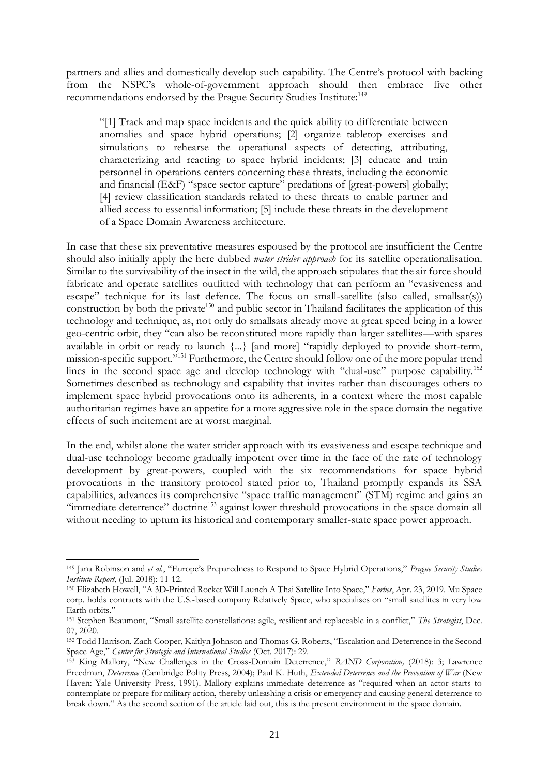partners and allies and domestically develop such capability. The Centre's protocol with backing from the NSPC's whole-of-government approach should then embrace five other recommendations endorsed by the Prague Security Studies Institute:<sup>149</sup>

"[1] Track and map space incidents and the quick ability to differentiate between anomalies and space hybrid operations; [2] organize tabletop exercises and simulations to rehearse the operational aspects of detecting, attributing, characterizing and reacting to space hybrid incidents; [3] educate and train personnel in operations centers concerning these threats, including the economic and financial (E&F) "space sector capture" predations of [great-powers] globally; [4] review classification standards related to these threats to enable partner and allied access to essential information; [5] include these threats in the development of a Space Domain Awareness architecture.

In case that these six preventative measures espoused by the protocol are insufficient the Centre should also initially apply the here dubbed *water strider approach* for its satellite operationalisation. Similar to the survivability of the insect in the wild, the approach stipulates that the air force should fabricate and operate satellites outfitted with technology that can perform an "evasiveness and escape" technique for its last defence. The focus on small-satellite (also called, smallsat(s)) construction by both the private<sup>150</sup> and public sector in Thailand facilitates the application of this technology and technique, as, not only do smallsats already move at great speed being in a lower geo-centric orbit, they "can also be reconstituted more rapidly than larger satellites—with spares available in orbit or ready to launch {...} [and more] "rapidly deployed to provide short-term, mission-specific support."<sup>151</sup> Furthermore, the Centre should follow one of the more popular trend lines in the second space age and develop technology with "dual-use" purpose capability.<sup>152</sup> Sometimes described as technology and capability that invites rather than discourages others to implement space hybrid provocations onto its adherents, in a context where the most capable authoritarian regimes have an appetite for a more aggressive role in the space domain the negative effects of such incitement are at worst marginal.

In the end, whilst alone the water strider approach with its evasiveness and escape technique and dual-use technology become gradually impotent over time in the face of the rate of technology development by great-powers, coupled with the six recommendations for space hybrid provocations in the transitory protocol stated prior to, Thailand promptly expands its SSA capabilities, advances its comprehensive "space traffic management" (STM) regime and gains an "immediate deterrence" doctrine<sup>153</sup> against lower threshold provocations in the space domain all without needing to upturn its historical and contemporary smaller-state space power approach.

<sup>149</sup> Jana Robinson and *et al.*, "Europe's Preparedness to Respond to Space Hybrid Operations," *Prague Security Studies Institute Report*, (Jul. 2018): 11-12.

<sup>150</sup> Elizabeth Howell, "A 3D-Printed Rocket Will Launch A Thai Satellite Into Space," *Forbes*, Apr. 23, 2019. Mu Space corp. holds contracts with the U.S.-based company Relatively Space, who specialises on "small satellites in very low Earth orbits."

<sup>151</sup> Stephen Beaumont, "Small satellite constellations: agile, resilient and replaceable in a conflict," *The Strategist*, Dec. 07, 2020.

<sup>152</sup> Todd Harrison, Zach Cooper, Kaitlyn Johnson and Thomas G. Roberts, "Escalation and Deterrence in the Second Space Age," *Center for Strategic and International Studies* (Oct. 2017): 29.

<sup>153</sup> King Mallory, "New Challenges in the Cross-Domain Deterrence," *RAND Corporation,* (2018): 3; Lawrence Freedman, *Deterrence* (Cambridge Polity Press, 2004); Paul K. Huth, *Extended Deterrence and the Prevention of War* (New Haven: Yale University Press, 1991). Mallory explains immediate deterrence as "required when an actor starts to contemplate or prepare for military action, thereby unleashing a crisis or emergency and causing general deterrence to break down." As the second section of the article laid out, this is the present environment in the space domain.